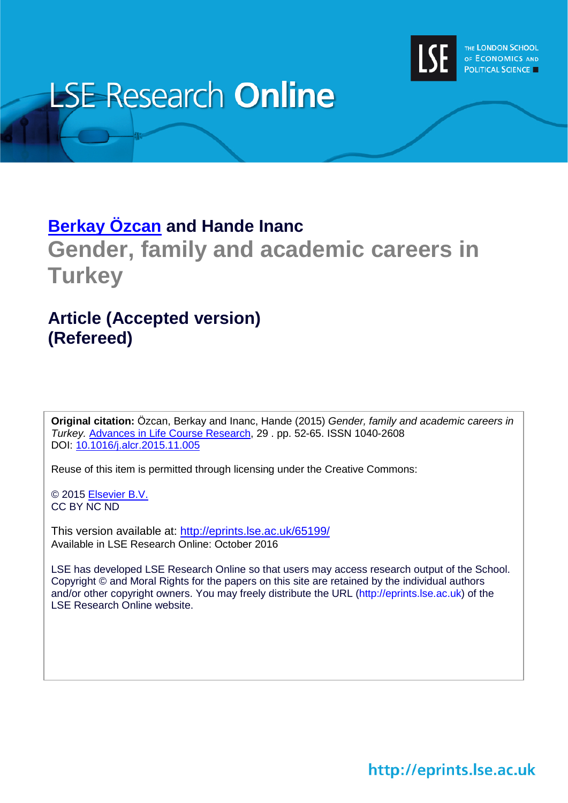

# **LSE Research Online**

# **[Berkay Özcan](http://www.lse.ac.uk/researchAndExpertise/Experts/profile.aspx?KeyValue=b.ozcan@lse.ac.uk) and Hande Inanc**

# **Gender, family and academic careers in Turkey**

# **Article (Accepted version) (Refereed)**

**Original citation:** Özcan, Berkay and Inanc, Hande (2015) *Gender, family and academic careers in Turkey.* [Advances in Life Course Research,](http://www.sciencedirect.com/science/journal/10402608) 29 . pp. 52-65. ISSN 1040-2608 DOI: [10.1016/j.alcr.2015.11.005](http://dx.doi.org/10.1016/j.alcr.2015.11.005)

Reuse of this item is permitted through licensing under the Creative Commons:

© 2015 [Elsevier B.V.](https://www.elsevier.com/) CC BY NC ND

This version available at: <http://eprints.lse.ac.uk/65199/> Available in LSE Research Online: October 2016

LSE has developed LSE Research Online so that users may access research output of the School. Copyright © and Moral Rights for the papers on this site are retained by the individual authors and/or other copyright owners. You may freely distribute the URL (http://eprints.lse.ac.uk) of the LSE Research Online website.

http://eprints.lse.ac.uk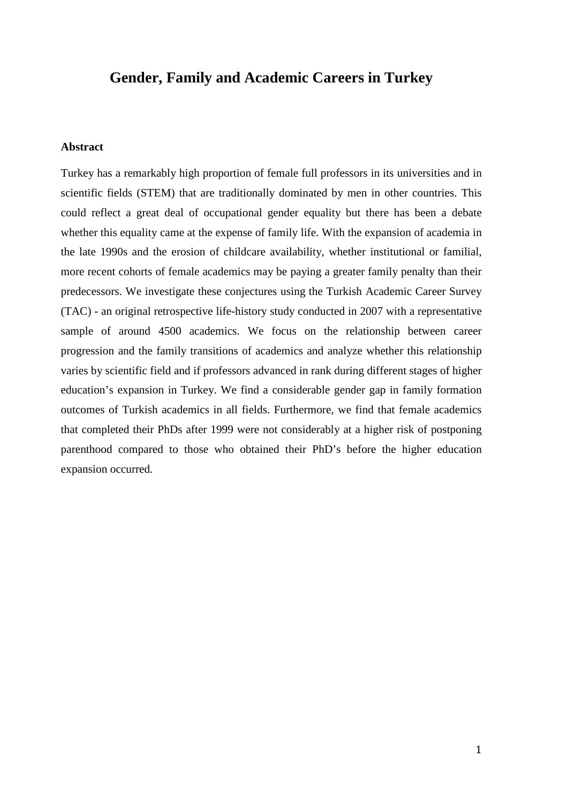# **Gender, Family and Academic Careers in Turkey**

#### **Abstract**

<span id="page-1-0"></span>Turkey has a remarkably high proportion of female full professors in its universities and in scientific fields (STEM) that are traditionally dominated by men in other countries. This could reflect a great deal of occupational gender equality but there has been a debate whether this equality came at the expense of family life. With the expansion of academia in the late 1990s and the erosion of childcare availability, whether institutional or familial, more recent cohorts of female academics may be paying a greater family penalty than their predecessors. We investigate these conjectures using the Turkish Academic Career Survey (TAC) - an original retrospective life-history study conducted in 2007 with a representative sample of around 4500 academics. We focus on the relationship between career progression and the family transitions of academics and analyze whether this relationship varies by scientific field and if professors advanced in rank during different stages of higher education's expansion in Turkey. We find a considerable gender gap in family formation outcomes of Turkish academics in all fields. Furthermore, we find that female academics that completed their PhDs after 1999 were not considerably at a higher risk of postponing parenthood compared to those who obtained their PhD's before the higher education expansion occurred.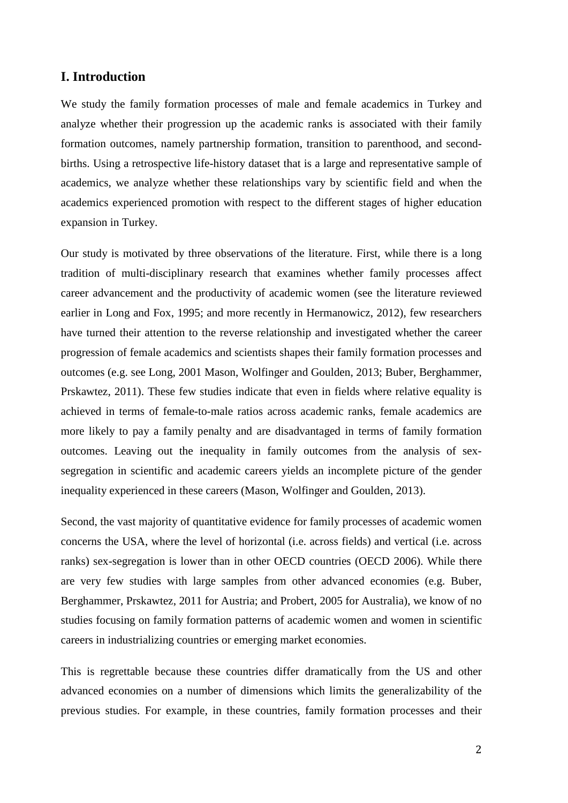### **I. Introduction**

We study the family formation processes of male and female academics in Turkey and analyze whether their progression up the academic ranks is associated with their family formation outcomes, namely partnership formation, transition to parenthood, and secondbirths. Using a retrospective life-history dataset that is a large and representative sample of academics, we analyze whether these relationships vary by scientific field and when the academics experienced promotion with respect to the different stages of higher education expansion in Turkey.

Our study is motivated by three observations of the literature. First, while there is a long tradition of multi-disciplinary research that examines whether family processes affect career advancement and the productivity of academic women (see the literature reviewed earlier in Long and Fox, 1995; and more recently in Hermanowicz, 2012), few researchers have turned their attention to the reverse relationship and investigated whether the career progression of female academics and scientists shapes their family formation processes and outcomes (e.g. see Long, 2001 Mason, Wolfinger and Goulden, 2013; Buber, Berghammer, Prskawtez, 2011). These few studies indicate that even in fields where relative equality is achieved in terms of female-to-male ratios across academic ranks, female academics are more likely to pay a family penalty and are disadvantaged in terms of family formation outcomes. Leaving out the inequality in family outcomes from the analysis of sexsegregation in scientific and academic careers yields an incomplete picture of the gender inequality experienced in these careers (Mason, Wolfinger and Goulden, 2013).

Second, the vast majority of quantitative evidence for family processes of academic women concerns the USA, where the level of horizontal (i.e. across fields) and vertical (i.e. across ranks) sex-segregation is lower than in other OECD countries (OECD 2006). While there are very few studies with large samples from other advanced economies (e.g. Buber, Berghammer, Prskawtez, 2011 for Austria; and Probert, 2005 for Australia), we know of no studies focusing on family formation patterns of academic women and women in scientific careers in industrializing countries or emerging market economies.

This is regrettable because these countries differ dramatically from the US and other advanced economies on a number of dimensions which limits the generalizability of the previous studies. For example, in these countries, family formation processes and their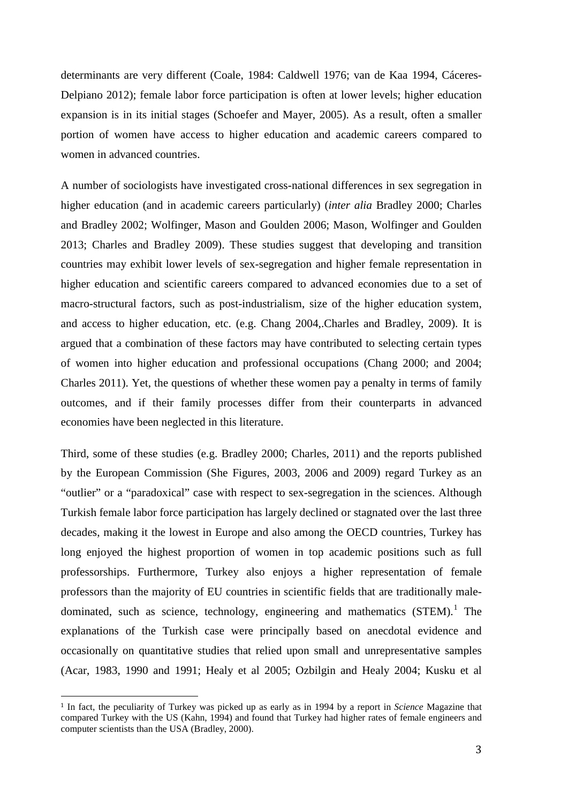determinants are very different (Coale, 1984: Caldwell 1976; van de Kaa 1994, Cáceres-Delpiano 2012); female labor force participation is often at lower levels; higher education expansion is in its initial stages (Schoefer and Mayer, 2005). As a result, often a smaller portion of women have access to higher education and academic careers compared to women in advanced countries.

A number of sociologists have investigated cross-national differences in sex segregation in higher education (and in academic careers particularly) (*inter alia* Bradley 2000; Charles and Bradley 2002; Wolfinger, Mason and Goulden 2006; Mason, Wolfinger and Goulden 2013; Charles and Bradley 2009). These studies suggest that developing and transition countries may exhibit lower levels of sex-segregation and higher female representation in higher education and scientific careers compared to advanced economies due to a set of macro-structural factors, such as post-industrialism, size of the higher education system, and access to higher education, etc. (e.g. Chang 2004,.Charles and Bradley, 2009). It is argued that a combination of these factors may have contributed to selecting certain types of women into higher education and professional occupations (Chang 2000; and 2004; Charles 2011). Yet, the questions of whether these women pay a penalty in terms of family outcomes, and if their family processes differ from their counterparts in advanced economies have been neglected in this literature.

Third, some of these studies (e.g. Bradley 2000; Charles, 2011) and the reports published by the European Commission (She Figures, 2003, 2006 and 2009) regard Turkey as an "outlier" or a "paradoxical" case with respect to sex-segregation in the sciences. Although Turkish female labor force participation has largely declined or stagnated over the last three decades, making it the lowest in Europe and also among the OECD countries, Turkey has long enjoyed the highest proportion of women in top academic positions such as full professorships. Furthermore, Turkey also enjoys a higher representation of female professors than the majority of EU countries in scientific fields that are traditionally male-dominated, such as science, technology, engineering and mathematics (STEM).<sup>[1](#page-1-0)</sup> The explanations of the Turkish case were principally based on anecdotal evidence and occasionally on quantitative studies that relied upon small and unrepresentative samples (Acar, 1983, 1990 and 1991; Healy et al 2005; Ozbilgin and Healy 2004; Kusku et al

<span id="page-3-0"></span> <sup>1</sup> In fact, the peculiarity of Turkey was picked up as early as in 1994 by a report in *Science* Magazine that compared Turkey with the US (Kahn, 1994) and found that Turkey had higher rates of female engineers and computer scientists than the USA (Bradley, 2000).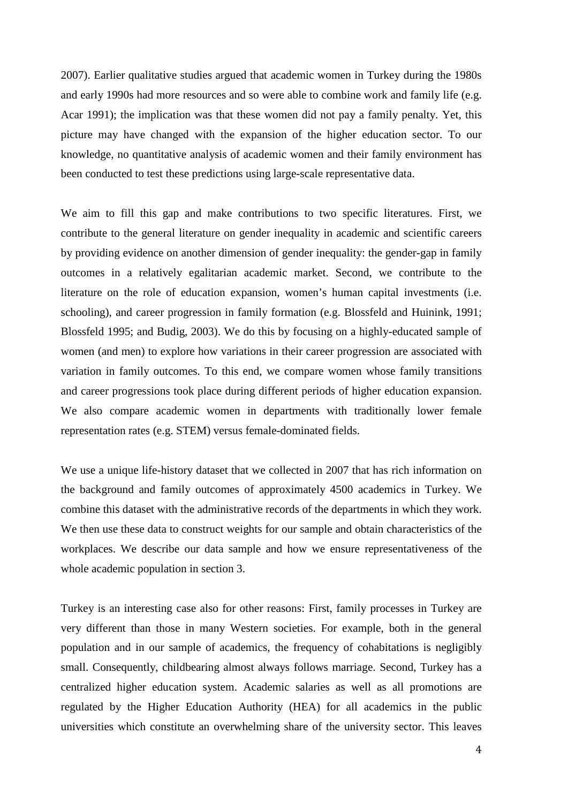2007). Earlier qualitative studies argued that academic women in Turkey during the 1980s and early 1990s had more resources and so were able to combine work and family life (e.g. Acar 1991); the implication was that these women did not pay a family penalty. Yet, this picture may have changed with the expansion of the higher education sector. To our knowledge, no quantitative analysis of academic women and their family environment has been conducted to test these predictions using large-scale representative data.

We aim to fill this gap and make contributions to two specific literatures. First, we contribute to the general literature on gender inequality in academic and scientific careers by providing evidence on another dimension of gender inequality: the gender-gap in family outcomes in a relatively egalitarian academic market. Second, we contribute to the literature on the role of education expansion, women's human capital investments (i.e. schooling), and career progression in family formation (e.g. Blossfeld and Huinink, 1991; Blossfeld 1995; and Budig, 2003). We do this by focusing on a highly-educated sample of women (and men) to explore how variations in their career progression are associated with variation in family outcomes. To this end, we compare women whose family transitions and career progressions took place during different periods of higher education expansion. We also compare academic women in departments with traditionally lower female representation rates (e.g. STEM) versus female-dominated fields.

We use a unique life-history dataset that we collected in 2007 that has rich information on the background and family outcomes of approximately 4500 academics in Turkey. We combine this dataset with the administrative records of the departments in which they work. We then use these data to construct weights for our sample and obtain characteristics of the workplaces. We describe our data sample and how we ensure representativeness of the whole academic population in section 3.

Turkey is an interesting case also for other reasons: First, family processes in Turkey are very different than those in many Western societies. For example, both in the general population and in our sample of academics, the frequency of cohabitations is negligibly small. Consequently, childbearing almost always follows marriage. Second, Turkey has a centralized higher education system. Academic salaries as well as all promotions are regulated by the Higher Education Authority (HEA) for all academics in the public universities which constitute an overwhelming share of the university sector. This leaves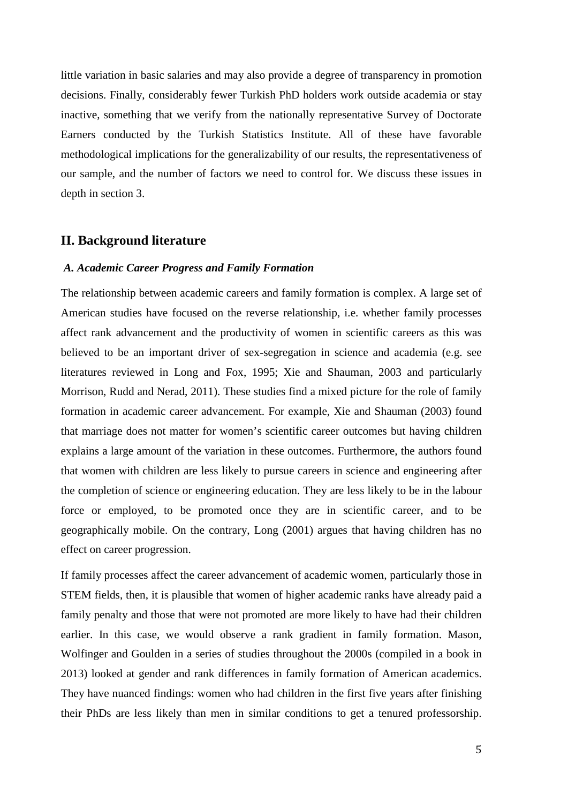little variation in basic salaries and may also provide a degree of transparency in promotion decisions. Finally, considerably fewer Turkish PhD holders work outside academia or stay inactive, something that we verify from the nationally representative Survey of Doctorate Earners conducted by the Turkish Statistics Institute. All of these have favorable methodological implications for the generalizability of our results, the representativeness of our sample, and the number of factors we need to control for. We discuss these issues in depth in section 3.

#### **II. Background literature**

#### *A. Academic Career Progress and Family Formation*

The relationship between academic careers and family formation is complex. A large set of American studies have focused on the reverse relationship, i.e. whether family processes affect rank advancement and the productivity of women in scientific careers as this was believed to be an important driver of sex-segregation in science and academia (e.g. see literatures reviewed in Long and Fox, 1995; Xie and Shauman, 2003 and particularly Morrison, Rudd and Nerad, 2011). These studies find a mixed picture for the role of family formation in academic career advancement. For example, Xie and Shauman (2003) found that marriage does not matter for women's scientific career outcomes but having children explains a large amount of the variation in these outcomes. Furthermore, the authors found that women with children are less likely to pursue careers in science and engineering after the completion of science or engineering education. They are less likely to be in the labour force or employed, to be promoted once they are in scientific career, and to be geographically mobile. On the contrary, Long (2001) argues that having children has no effect on career progression.

If family processes affect the career advancement of academic women, particularly those in STEM fields, then, it is plausible that women of higher academic ranks have already paid a family penalty and those that were not promoted are more likely to have had their children earlier. In this case, we would observe a rank gradient in family formation. Mason, Wolfinger and Goulden in a series of studies throughout the 2000s (compiled in a book in 2013) looked at gender and rank differences in family formation of American academics. They have nuanced findings: women who had children in the first five years after finishing their PhDs are less likely than men in similar conditions to get a tenured professorship.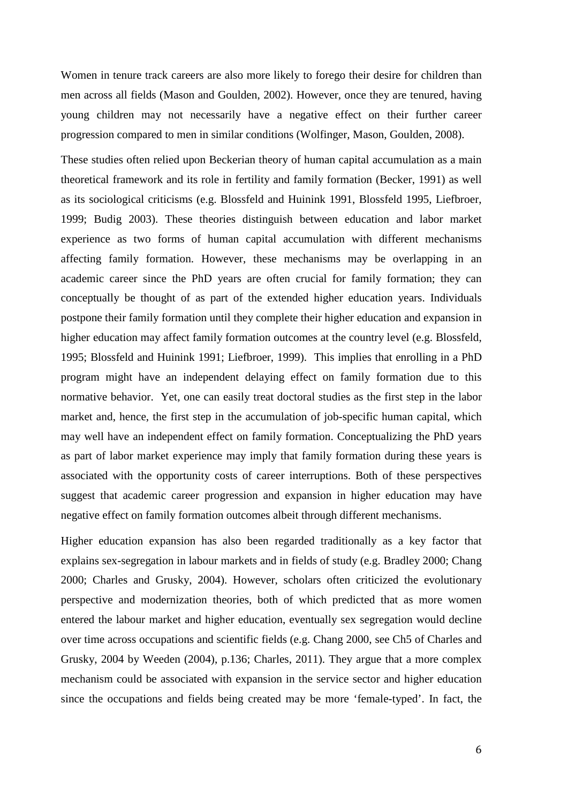Women in tenure track careers are also more likely to forego their desire for children than men across all fields (Mason and Goulden, 2002). However, once they are tenured, having young children may not necessarily have a negative effect on their further career progression compared to men in similar conditions (Wolfinger, Mason, Goulden, 2008).

These studies often relied upon Beckerian theory of human capital accumulation as a main theoretical framework and its role in fertility and family formation (Becker, 1991) as well as its sociological criticisms (e.g. Blossfeld and Huinink 1991, Blossfeld 1995, Liefbroer, 1999; Budig 2003). These theories distinguish between education and labor market experience as two forms of human capital accumulation with different mechanisms affecting family formation. However, these mechanisms may be overlapping in an academic career since the PhD years are often crucial for family formation; they can conceptually be thought of as part of the extended higher education years. Individuals postpone their family formation until they complete their higher education and expansion in higher education may affect family formation outcomes at the country level (e.g. Blossfeld, 1995; Blossfeld and Huinink 1991; Liefbroer, 1999). This implies that enrolling in a PhD program might have an independent delaying effect on family formation due to this normative behavior. Yet, one can easily treat doctoral studies as the first step in the labor market and, hence, the first step in the accumulation of job-specific human capital, which may well have an independent effect on family formation. Conceptualizing the PhD years as part of labor market experience may imply that family formation during these years is associated with the opportunity costs of career interruptions. Both of these perspectives suggest that academic career progression and expansion in higher education may have negative effect on family formation outcomes albeit through different mechanisms.

Higher education expansion has also been regarded traditionally as a key factor that explains sex-segregation in labour markets and in fields of study (e.g. Bradley 2000; Chang 2000; Charles and Grusky, 2004). However, scholars often criticized the evolutionary perspective and modernization theories, both of which predicted that as more women entered the labour market and higher education, eventually sex segregation would decline over time across occupations and scientific fields (e.g. Chang 2000, see Ch5 of Charles and Grusky, 2004 by Weeden (2004), p.136; Charles, 2011). They argue that a more complex mechanism could be associated with expansion in the service sector and higher education since the occupations and fields being created may be more 'female-typed'. In fact, the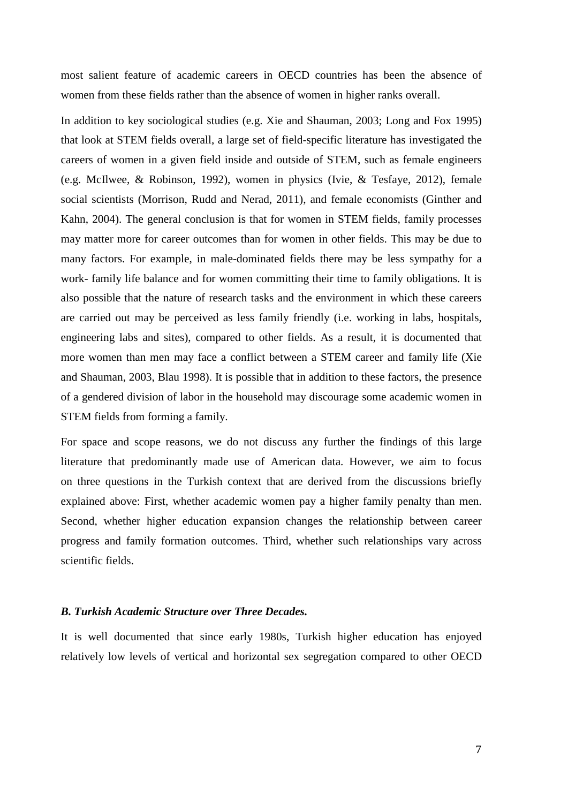most salient feature of academic careers in OECD countries has been the absence of women from these fields rather than the absence of women in higher ranks overall.

In addition to key sociological studies (e.g. Xie and Shauman, 2003; Long and Fox 1995) that look at STEM fields overall, a large set of field-specific literature has investigated the careers of women in a given field inside and outside of STEM, such as female engineers (e.g. McIlwee, & Robinson, 1992), women in physics (Ivie, & Tesfaye, 2012), female social scientists (Morrison, Rudd and Nerad, 2011), and female economists (Ginther and Kahn, 2004). The general conclusion is that for women in STEM fields, family processes may matter more for career outcomes than for women in other fields. This may be due to many factors. For example, in male-dominated fields there may be less sympathy for a work- family life balance and for women committing their time to family obligations. It is also possible that the nature of research tasks and the environment in which these careers are carried out may be perceived as less family friendly (i.e. working in labs, hospitals, engineering labs and sites), compared to other fields. As a result, it is documented that more women than men may face a conflict between a STEM career and family life (Xie and Shauman, 2003, Blau 1998). It is possible that in addition to these factors, the presence of a gendered division of labor in the household may discourage some academic women in STEM fields from forming a family.

For space and scope reasons, we do not discuss any further the findings of this large literature that predominantly made use of American data. However, we aim to focus on three questions in the Turkish context that are derived from the discussions briefly explained above: First, whether academic women pay a higher family penalty than men. Second, whether higher education expansion changes the relationship between career progress and family formation outcomes. Third, whether such relationships vary across scientific fields.

#### *B. Turkish Academic Structure over Three Decades.*

It is well documented that since early 1980s, Turkish higher education has enjoyed relatively low levels of vertical and horizontal sex segregation compared to other OECD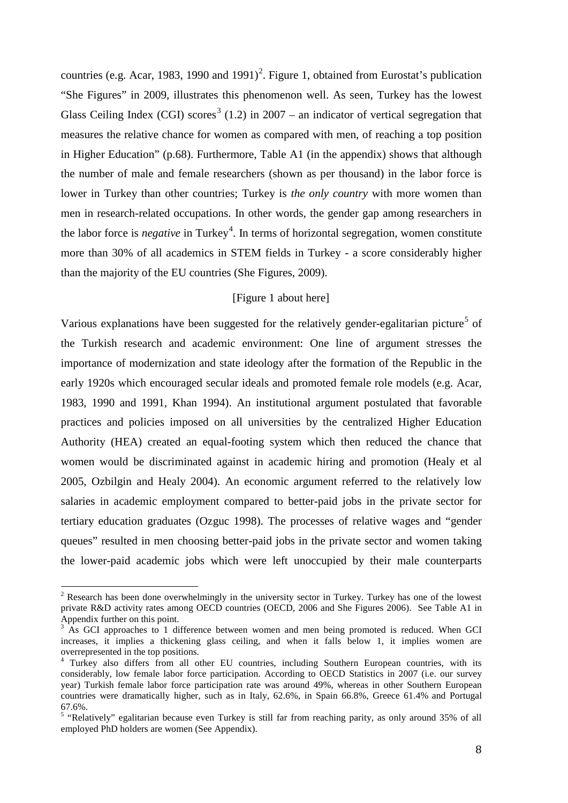countries (e.g. Acar, 1983, 1990 and 1991)<sup>[2](#page-3-0)</sup>. Figure 1, obtained from Eurostat's publication "She Figures" in 2009, illustrates this phenomenon well. As seen, Turkey has the lowest Glass Ceiling Index (CGI) scores<sup>[3](#page-8-0)</sup> (1.2) in 2007 – an indicator of vertical segregation that measures the relative chance for women as compared with men, of reaching a top position in Higher Education" (p.68). Furthermore, Table A1 (in the appendix) shows that although the number of male and female researchers (shown as per thousand) in the labor force is lower in Turkey than other countries; Turkey is *the only country* with more women than men in research-related occupations. In other words, the gender gap among researchers in the labor force is *negative* in Turkey<sup>[4](#page-8-1)</sup>. In terms of horizontal segregation, women constitute more than 30% of all academics in STEM fields in Turkey - a score considerably higher than the majority of the EU countries (She Figures, 2009).

#### [Figure 1 about here]

Various explanations have been suggested for the relatively gender-egalitarian picture<sup>[5](#page-8-2)</sup> of the Turkish research and academic environment: One line of argument stresses the importance of modernization and state ideology after the formation of the Republic in the early 1920s which encouraged secular ideals and promoted female role models (e.g. Acar, 1983, 1990 and 1991, Khan 1994). An institutional argument postulated that favorable practices and policies imposed on all universities by the centralized Higher Education Authority (HEA) created an equal-footing system which then reduced the chance that women would be discriminated against in academic hiring and promotion (Healy et al 2005, Ozbilgin and Healy 2004). An economic argument referred to the relatively low salaries in academic employment compared to better-paid jobs in the private sector for tertiary education graduates (Ozguc 1998). The processes of relative wages and "gender queues" resulted in men choosing better-paid jobs in the private sector and women taking the lower-paid academic jobs which were left unoccupied by their male counterparts

 $2$  Research has been done overwhelmingly in the university sector in Turkey. Turkey has one of the lowest private R&D activity rates among OECD countries (OECD, 2006 and She Figures 2006). See Table A1 in Appendix further on this point.

<span id="page-8-0"></span><sup>3</sup> As GCI approaches to 1 difference between women and men being promoted is reduced. When GCI increases, it implies a thickening glass ceiling, and when it falls below 1, it implies women are overrepresented in the top positions.

<span id="page-8-1"></span><sup>&</sup>lt;sup>4</sup> Turkey also differs from all other EU countries, including Southern European countries, with its considerably, low female labor force participation. According to OECD Statistics in 2007 (i.e. our survey year) Turkish female labor force participation rate was around 49%, whereas in other Southern European countries were dramatically higher, such as in Italy, 62.6%, in Spain 66.8%, Greece 61.4% and Portugal 67.6%.

<span id="page-8-2"></span><sup>&</sup>lt;sup>5</sup> "Relatively" egalitarian because even Turkey is still far from reaching parity, as only around 35% of all employed PhD holders are women (See Appendix).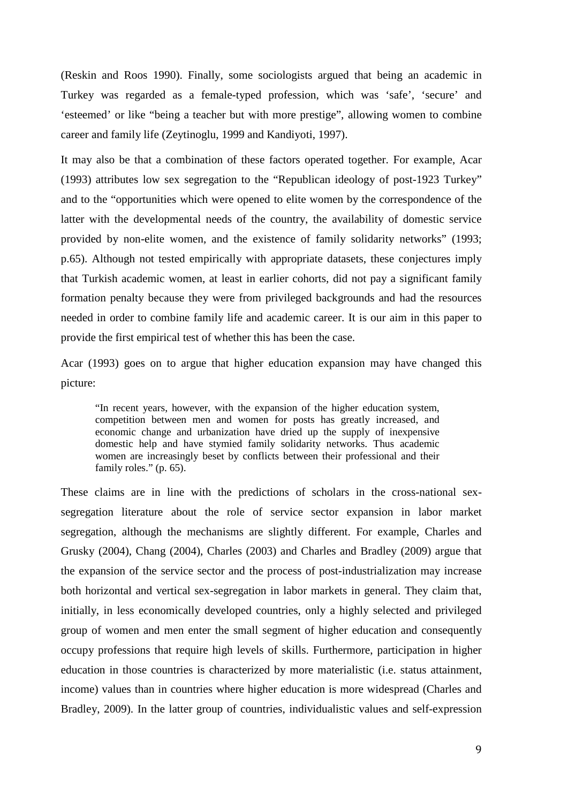(Reskin and Roos 1990). Finally, some sociologists argued that being an academic in Turkey was regarded as a female-typed profession, which was 'safe', 'secure' and 'esteemed' or like "being a teacher but with more prestige", allowing women to combine career and family life (Zeytinoglu, 1999 and Kandiyoti, 1997).

It may also be that a combination of these factors operated together. For example, Acar (1993) attributes low sex segregation to the "Republican ideology of post-1923 Turkey" and to the "opportunities which were opened to elite women by the correspondence of the latter with the developmental needs of the country, the availability of domestic service provided by non-elite women, and the existence of family solidarity networks" (1993; p.65). Although not tested empirically with appropriate datasets, these conjectures imply that Turkish academic women, at least in earlier cohorts, did not pay a significant family formation penalty because they were from privileged backgrounds and had the resources needed in order to combine family life and academic career. It is our aim in this paper to provide the first empirical test of whether this has been the case.

Acar (1993) goes on to argue that higher education expansion may have changed this picture:

"In recent years, however, with the expansion of the higher education system, competition between men and women for posts has greatly increased, and economic change and urbanization have dried up the supply of inexpensive domestic help and have stymied family solidarity networks. Thus academic women are increasingly beset by conflicts between their professional and their family roles." (p. 65).

These claims are in line with the predictions of scholars in the cross-national sexsegregation literature about the role of service sector expansion in labor market segregation, although the mechanisms are slightly different. For example, Charles and Grusky (2004), Chang (2004), Charles (2003) and Charles and Bradley (2009) argue that the expansion of the service sector and the process of post-industrialization may increase both horizontal and vertical sex-segregation in labor markets in general. They claim that, initially, in less economically developed countries, only a highly selected and privileged group of women and men enter the small segment of higher education and consequently occupy professions that require high levels of skills. Furthermore, participation in higher education in those countries is characterized by more materialistic (i.e. status attainment, income) values than in countries where higher education is more widespread (Charles and Bradley, 2009). In the latter group of countries, individualistic values and self-expression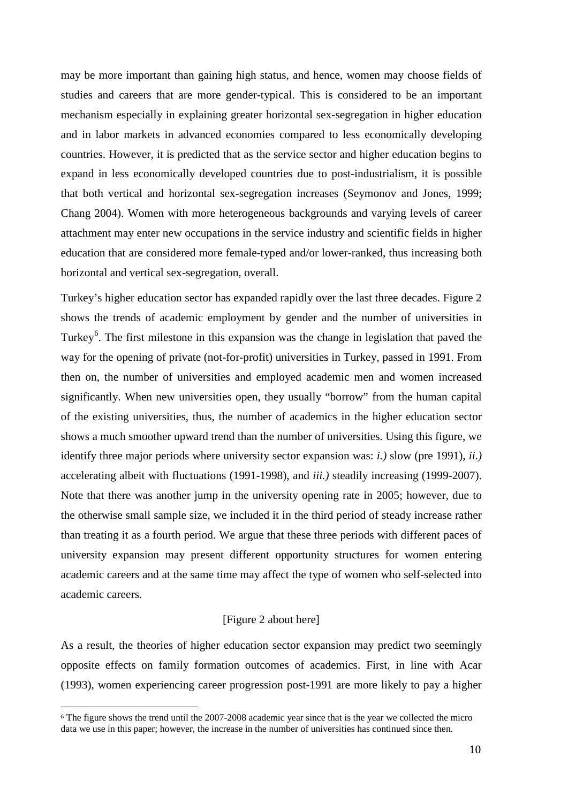may be more important than gaining high status, and hence, women may choose fields of studies and careers that are more gender-typical. This is considered to be an important mechanism especially in explaining greater horizontal sex-segregation in higher education and in labor markets in advanced economies compared to less economically developing countries. However, it is predicted that as the service sector and higher education begins to expand in less economically developed countries due to post-industrialism, it is possible that both vertical and horizontal sex-segregation increases (Seymonov and Jones, 1999; Chang 2004). Women with more heterogeneous backgrounds and varying levels of career attachment may enter new occupations in the service industry and scientific fields in higher education that are considered more female-typed and/or lower-ranked, thus increasing both horizontal and vertical sex-segregation, overall.

Turkey's higher education sector has expanded rapidly over the last three decades. Figure 2 shows the trends of academic employment by gender and the number of universities in Turkey<sup>[6](#page-8-2)</sup>. The first milestone in this expansion was the change in legislation that paved the way for the opening of private (not-for-profit) universities in Turkey, passed in 1991. From then on, the number of universities and employed academic men and women increased significantly. When new universities open, they usually "borrow" from the human capital of the existing universities, thus, the number of academics in the higher education sector shows a much smoother upward trend than the number of universities. Using this figure, we identify three major periods where university sector expansion was: *i.)* slow (pre 1991), *ii.)* accelerating albeit with fluctuations (1991-1998), and *iii.)* steadily increasing (1999-2007). Note that there was another jump in the university opening rate in 2005; however, due to the otherwise small sample size, we included it in the third period of steady increase rather than treating it as a fourth period. We argue that these three periods with different paces of university expansion may present different opportunity structures for women entering academic careers and at the same time may affect the type of women who self-selected into academic careers.

#### [Figure 2 about here]

As a result, the theories of higher education sector expansion may predict two seemingly opposite effects on family formation outcomes of academics. First, in line with Acar (1993), women experiencing career progression post-1991 are more likely to pay a higher

<span id="page-10-0"></span> <sup>6</sup> The figure shows the trend until the 2007-2008 academic year since that is the year we collected the micro data we use in this paper; however, the increase in the number of universities has continued since then.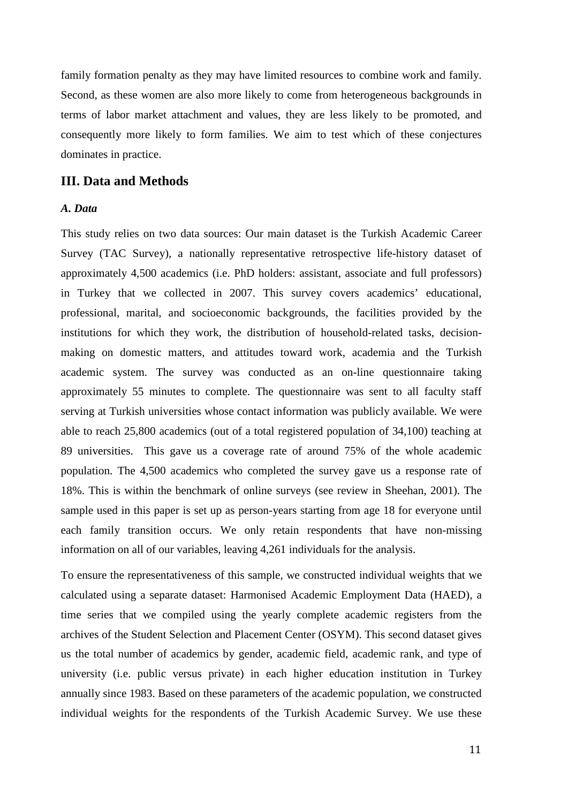family formation penalty as they may have limited resources to combine work and family. Second, as these women are also more likely to come from heterogeneous backgrounds in terms of labor market attachment and values, they are less likely to be promoted, and consequently more likely to form families. We aim to test which of these conjectures dominates in practice.

#### **III. Data and Methods**

#### *A. Data*

This study relies on two data sources: Our main dataset is the Turkish Academic Career Survey (TAC Survey), a nationally representative retrospective life-history dataset of approximately 4,500 academics (i.e. PhD holders: assistant, associate and full professors) in Turkey that we collected in 2007. This survey covers academics' educational, professional, marital, and socioeconomic backgrounds, the facilities provided by the institutions for which they work, the distribution of household-related tasks, decisionmaking on domestic matters, and attitudes toward work, academia and the Turkish academic system. The survey was conducted as an on-line questionnaire taking approximately 55 minutes to complete. The questionnaire was sent to all faculty staff serving at Turkish universities whose contact information was publicly available. We were able to reach 25,800 academics (out of a total registered population of 34,100) teaching at 89 universities. This gave us a coverage rate of around 75% of the whole academic population. The 4,500 academics who completed the survey gave us a response rate of 18%. This is within the benchmark of online surveys (see review in Sheehan, 2001). The sample used in this paper is set up as person-years starting from age 18 for everyone until each family transition occurs. We only retain respondents that have non-missing information on all of our variables, leaving 4,261 individuals for the analysis.

To ensure the representativeness of this sample, we constructed individual weights that we calculated using a separate dataset: Harmonised Academic Employment Data (HAED), a time series that we compiled using the yearly complete academic registers from the archives of the Student Selection and Placement Center (OSYM). This second dataset gives us the total number of academics by gender, academic field, academic rank, and type of university (i.e. public versus private) in each higher education institution in Turkey annually since 1983. Based on these parameters of the academic population, we constructed individual weights for the respondents of the Turkish Academic Survey. We use these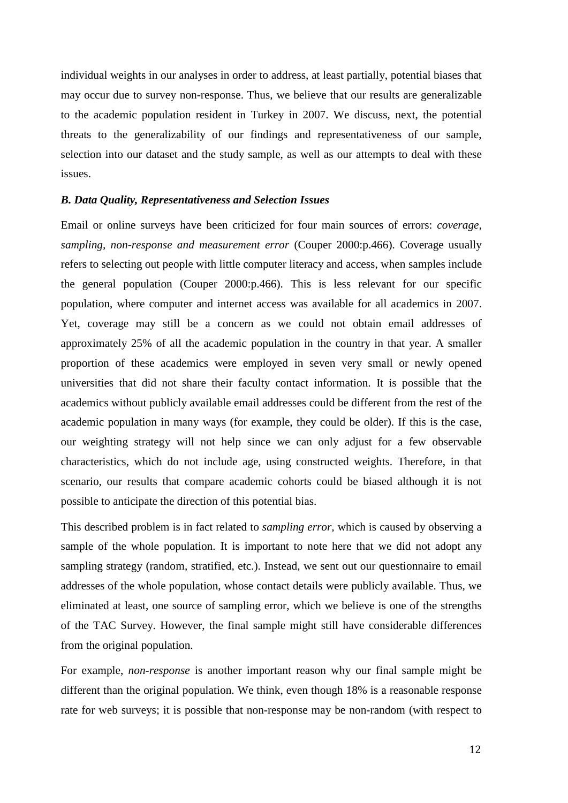individual weights in our analyses in order to address, at least partially, potential biases that may occur due to survey non-response. Thus, we believe that our results are generalizable to the academic population resident in Turkey in 2007. We discuss, next, the potential threats to the generalizability of our findings and representativeness of our sample, selection into our dataset and the study sample, as well as our attempts to deal with these issues.

#### *B. Data Quality, Representativeness and Selection Issues*

Email or online surveys have been criticized for four main sources of errors: *coverage, sampling, non-response and measurement error* (Couper 2000:p.466). Coverage usually refers to selecting out people with little computer literacy and access, when samples include the general population (Couper 2000:p.466). This is less relevant for our specific population, where computer and internet access was available for all academics in 2007. Yet, coverage may still be a concern as we could not obtain email addresses of approximately 25% of all the academic population in the country in that year. A smaller proportion of these academics were employed in seven very small or newly opened universities that did not share their faculty contact information. It is possible that the academics without publicly available email addresses could be different from the rest of the academic population in many ways (for example, they could be older). If this is the case, our weighting strategy will not help since we can only adjust for a few observable characteristics, which do not include age, using constructed weights. Therefore, in that scenario, our results that compare academic cohorts could be biased although it is not possible to anticipate the direction of this potential bias.

This described problem is in fact related to *sampling error,* which is caused by observing a sample of the whole population. It is important to note here that we did not adopt any sampling strategy (random, stratified, etc.). Instead, we sent out our questionnaire to email addresses of the whole population, whose contact details were publicly available. Thus, we eliminated at least, one source of sampling error, which we believe is one of the strengths of the TAC Survey. However, the final sample might still have considerable differences from the original population.

For example, *non-response* is another important reason why our final sample might be different than the original population. We think, even though 18% is a reasonable response rate for web surveys; it is possible that non-response may be non-random (with respect to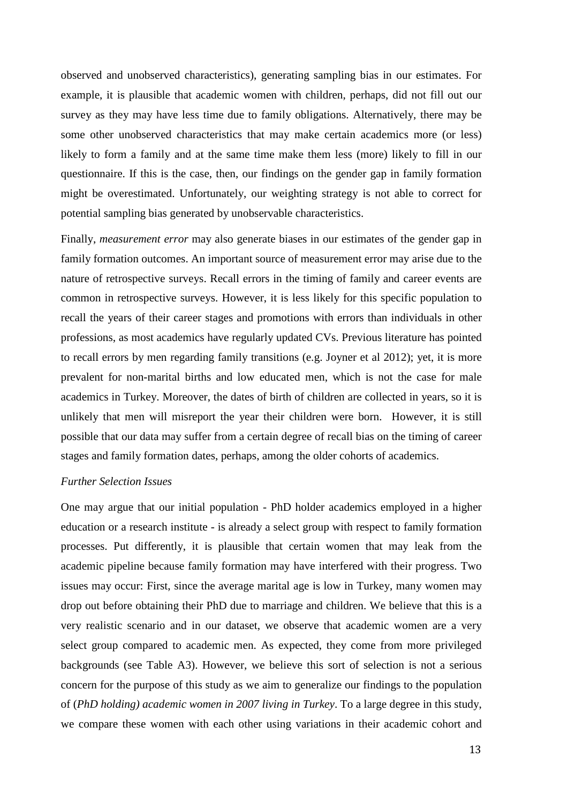observed and unobserved characteristics), generating sampling bias in our estimates. For example, it is plausible that academic women with children, perhaps, did not fill out our survey as they may have less time due to family obligations. Alternatively, there may be some other unobserved characteristics that may make certain academics more (or less) likely to form a family and at the same time make them less (more) likely to fill in our questionnaire. If this is the case, then, our findings on the gender gap in family formation might be overestimated. Unfortunately, our weighting strategy is not able to correct for potential sampling bias generated by unobservable characteristics.

Finally, *measurement error* may also generate biases in our estimates of the gender gap in family formation outcomes. An important source of measurement error may arise due to the nature of retrospective surveys. Recall errors in the timing of family and career events are common in retrospective surveys. However, it is less likely for this specific population to recall the years of their career stages and promotions with errors than individuals in other professions, as most academics have regularly updated CVs. Previous literature has pointed to recall errors by men regarding family transitions (e.g. Joyner et al 2012); yet, it is more prevalent for non-marital births and low educated men, which is not the case for male academics in Turkey. Moreover, the dates of birth of children are collected in years, so it is unlikely that men will misreport the year their children were born. However, it is still possible that our data may suffer from a certain degree of recall bias on the timing of career stages and family formation dates, perhaps, among the older cohorts of academics.

#### *Further Selection Issues*

One may argue that our initial population - PhD holder academics employed in a higher education or a research institute - is already a select group with respect to family formation processes. Put differently, it is plausible that certain women that may leak from the academic pipeline because family formation may have interfered with their progress. Two issues may occur: First, since the average marital age is low in Turkey, many women may drop out before obtaining their PhD due to marriage and children. We believe that this is a very realistic scenario and in our dataset, we observe that academic women are a very select group compared to academic men. As expected, they come from more privileged backgrounds (see Table A3). However, we believe this sort of selection is not a serious concern for the purpose of this study as we aim to generalize our findings to the population of (*PhD holding) academic women in 2007 living in Turkey*. To a large degree in this study, we compare these women with each other using variations in their academic cohort and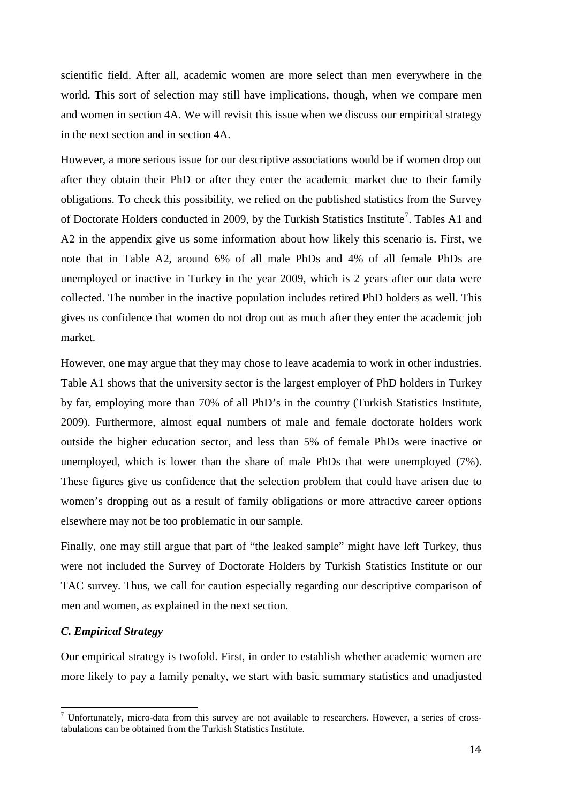scientific field. After all, academic women are more select than men everywhere in the world. This sort of selection may still have implications, though, when we compare men and women in section 4A. We will revisit this issue when we discuss our empirical strategy in the next section and in section 4A.

However, a more serious issue for our descriptive associations would be if women drop out after they obtain their PhD or after they enter the academic market due to their family obligations. To check this possibility, we relied on the published statistics from the Survey of Doctorate Holders conducted in 2009, by the Turkish Statistics Institute<sup>[7](#page-10-0)</sup>. Tables A1 and A2 in the appendix give us some information about how likely this scenario is. First, we note that in Table A2, around 6% of all male PhDs and 4% of all female PhDs are unemployed or inactive in Turkey in the year 2009, which is 2 years after our data were collected. The number in the inactive population includes retired PhD holders as well. This gives us confidence that women do not drop out as much after they enter the academic job market.

However, one may argue that they may chose to leave academia to work in other industries. Table A1 shows that the university sector is the largest employer of PhD holders in Turkey by far, employing more than 70% of all PhD's in the country (Turkish Statistics Institute, 2009). Furthermore, almost equal numbers of male and female doctorate holders work outside the higher education sector, and less than 5% of female PhDs were inactive or unemployed, which is lower than the share of male PhDs that were unemployed (7%). These figures give us confidence that the selection problem that could have arisen due to women's dropping out as a result of family obligations or more attractive career options elsewhere may not be too problematic in our sample.

Finally, one may still argue that part of "the leaked sample" might have left Turkey, thus were not included the Survey of Doctorate Holders by Turkish Statistics Institute or our TAC survey. Thus, we call for caution especially regarding our descriptive comparison of men and women, as explained in the next section.

#### *C. Empirical Strategy*

<span id="page-14-0"></span>Our empirical strategy is twofold. First, in order to establish whether academic women are more likely to pay a family penalty, we start with basic summary statistics and unadjusted

 $<sup>7</sup>$  Unfortunately, micro-data from this survey are not available to researchers. However, a series of cross-</sup> tabulations can be obtained from the Turkish Statistics Institute.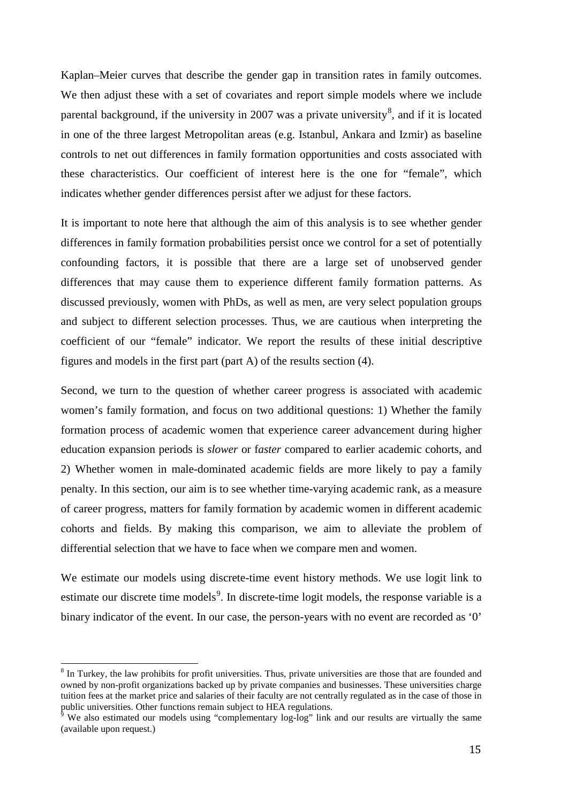Kaplan–Meier curves that describe the gender gap in transition rates in family outcomes. We then adjust these with a set of covariates and report simple models where we include parental background, if the university in 2007 was a private university<sup>[8](#page-14-0)</sup>, and if it is located in one of the three largest Metropolitan areas (e.g. Istanbul, Ankara and Izmir) as baseline controls to net out differences in family formation opportunities and costs associated with these characteristics. Our coefficient of interest here is the one for "female", which indicates whether gender differences persist after we adjust for these factors.

It is important to note here that although the aim of this analysis is to see whether gender differences in family formation probabilities persist once we control for a set of potentially confounding factors, it is possible that there are a large set of unobserved gender differences that may cause them to experience different family formation patterns. As discussed previously, women with PhDs, as well as men, are very select population groups and subject to different selection processes. Thus, we are cautious when interpreting the coefficient of our "female" indicator. We report the results of these initial descriptive figures and models in the first part (part A) of the results section (4).

Second, we turn to the question of whether career progress is associated with academic women's family formation, and focus on two additional questions: 1) Whether the family formation process of academic women that experience career advancement during higher education expansion periods is *slower* or f*aster* compared to earlier academic cohorts, and 2) Whether women in male-dominated academic fields are more likely to pay a family penalty. In this section, our aim is to see whether time-varying academic rank, as a measure of career progress, matters for family formation by academic women in different academic cohorts and fields. By making this comparison, we aim to alleviate the problem of differential selection that we have to face when we compare men and women.

We estimate our models using discrete-time event history methods. We use logit link to estimate our discrete time models<sup>[9](#page-15-0)</sup>. In discrete-time logit models, the response variable is a binary indicator of the event. In our case, the person-years with no event are recorded as '0'

<sup>&</sup>lt;sup>8</sup> In Turkey, the law prohibits for profit universities. Thus, private universities are those that are founded and owned by non-profit organizations backed up by private companies and businesses. These universities charge tuition fees at the market price and salaries of their faculty are not centrally regulated as in the case of those in public universities. Other functions remain subject to HEA regulations.

<span id="page-15-0"></span>We also estimated our models using "complementary log-log" link and our results are virtually the same (available upon request.)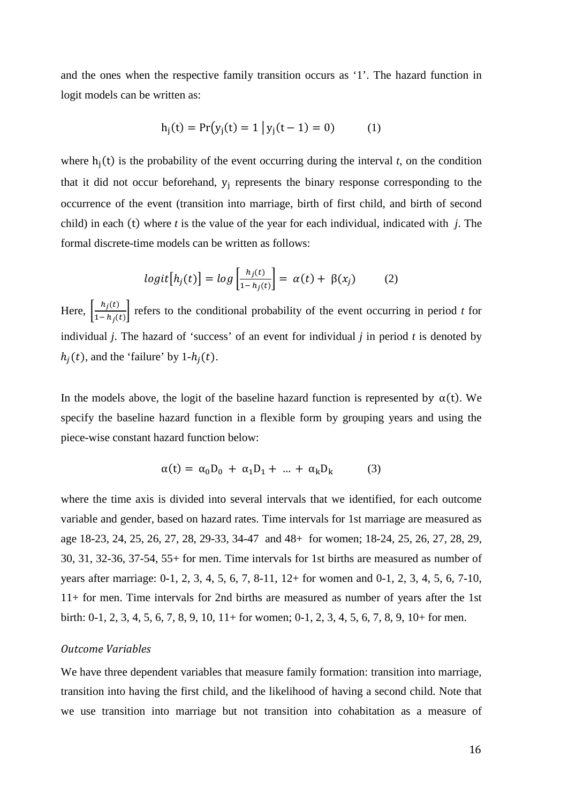and the ones when the respective family transition occurs as '1'. The hazard function in logit models can be written as:

$$
h_j(t) = Pr(y_j(t) = 1 | y_j(t-1) = 0)
$$
 (1)

where  $h_i(t)$  is the probability of the event occurring during the interval *t*, on the condition that it did not occur beforehand,  $y_i$  represents the binary response corresponding to the occurrence of the event (transition into marriage, birth of first child, and birth of second child) in each (t) where *t* is the value of the year for each individual, indicated with *j*. The formal discrete-time models can be written as follows:

$$
logit[h_j(t)] = log\left[\frac{h_j(t)}{1 - h_j(t)}\right] = \alpha(t) + \beta(x_j)
$$
 (2)

Here,  $\left[ \frac{n_j(t)}{1 - h_j(t)} \right]$  refers to the conditional probability of the event occurring in period *t* for individual *j*. The hazard of 'success' of an event for individual *j* in period *t* is denoted by  $h_i(t)$ , and the 'failure' by 1- $h_i(t)$ .

In the models above, the logit of the baseline hazard function is represented by  $\alpha(t)$ . We specify the baseline hazard function in a flexible form by grouping years and using the piece-wise constant hazard function below:

$$
\alpha(t) = \alpha_0 D_0 + \alpha_1 D_1 + \dots + \alpha_k D_k \tag{3}
$$

where the time axis is divided into several intervals that we identified, for each outcome variable and gender, based on hazard rates. Time intervals for 1st marriage are measured as age 18-23, 24, 25, 26, 27, 28, 29-33, 34-47 and 48+ for women; 18-24, 25, 26, 27, 28, 29, 30, 31, 32-36, 37-54, 55+ for men. Time intervals for 1st births are measured as number of years after marriage: 0-1, 2, 3, 4, 5, 6, 7, 8-11, 12+ for women and 0-1, 2, 3, 4, 5, 6, 7-10, 11+ for men. Time intervals for 2nd births are measured as number of years after the 1st birth: 0-1, 2, 3, 4, 5, 6, 7, 8, 9, 10, 11+ for women; 0-1, 2, 3, 4, 5, 6, 7, 8, 9, 10+ for men.

#### *Outcome Variables*

We have three dependent variables that measure family formation: transition into marriage, transition into having the first child, and the likelihood of having a second child. Note that we use transition into marriage but not transition into cohabitation as a measure of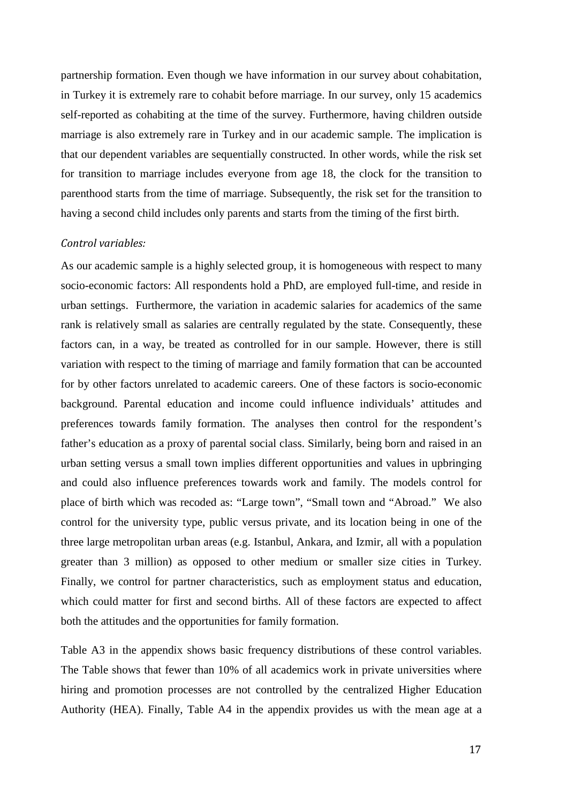partnership formation. Even though we have information in our survey about cohabitation, in Turkey it is extremely rare to cohabit before marriage. In our survey, only 15 academics self-reported as cohabiting at the time of the survey. Furthermore, having children outside marriage is also extremely rare in Turkey and in our academic sample. The implication is that our dependent variables are sequentially constructed. In other words, while the risk set for transition to marriage includes everyone from age 18, the clock for the transition to parenthood starts from the time of marriage. Subsequently, the risk set for the transition to having a second child includes only parents and starts from the timing of the first birth.

#### *Control variables:*

As our academic sample is a highly selected group, it is homogeneous with respect to many socio-economic factors: All respondents hold a PhD, are employed full-time, and reside in urban settings. Furthermore, the variation in academic salaries for academics of the same rank is relatively small as salaries are centrally regulated by the state. Consequently, these factors can, in a way, be treated as controlled for in our sample. However, there is still variation with respect to the timing of marriage and family formation that can be accounted for by other factors unrelated to academic careers. One of these factors is socio-economic background. Parental education and income could influence individuals' attitudes and preferences towards family formation. The analyses then control for the respondent's father's education as a proxy of parental social class. Similarly, being born and raised in an urban setting versus a small town implies different opportunities and values in upbringing and could also influence preferences towards work and family. The models control for place of birth which was recoded as: "Large town", "Small town and "Abroad." We also control for the university type, public versus private, and its location being in one of the three large metropolitan urban areas (e.g. Istanbul, Ankara, and Izmir, all with a population greater than 3 million) as opposed to other medium or smaller size cities in Turkey. Finally, we control for partner characteristics, such as employment status and education, which could matter for first and second births. All of these factors are expected to affect both the attitudes and the opportunities for family formation.

Table A3 in the appendix shows basic frequency distributions of these control variables. The Table shows that fewer than 10% of all academics work in private universities where hiring and promotion processes are not controlled by the centralized Higher Education Authority (HEA). Finally, Table A4 in the appendix provides us with the mean age at a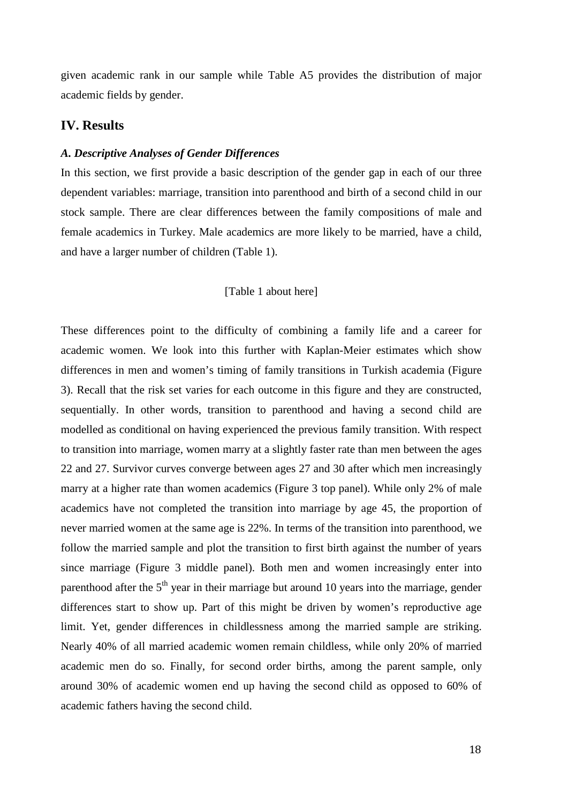given academic rank in our sample while Table A5 provides the distribution of major academic fields by gender.

### **IV. Results**

#### *A. Descriptive Analyses of Gender Differences*

In this section, we first provide a basic description of the gender gap in each of our three dependent variables: marriage, transition into parenthood and birth of a second child in our stock sample. There are clear differences between the family compositions of male and female academics in Turkey. Male academics are more likely to be married, have a child, and have a larger number of children (Table 1).

#### [Table 1 about here]

These differences point to the difficulty of combining a family life and a career for academic women. We look into this further with Kaplan-Meier estimates which show differences in men and women's timing of family transitions in Turkish academia (Figure 3). Recall that the risk set varies for each outcome in this figure and they are constructed, sequentially. In other words, transition to parenthood and having a second child are modelled as conditional on having experienced the previous family transition. With respect to transition into marriage, women marry at a slightly faster rate than men between the ages 22 and 27. Survivor curves converge between ages 27 and 30 after which men increasingly marry at a higher rate than women academics (Figure 3 top panel). While only 2% of male academics have not completed the transition into marriage by age 45, the proportion of never married women at the same age is 22%. In terms of the transition into parenthood, we follow the married sample and plot the transition to first birth against the number of years since marriage (Figure 3 middle panel). Both men and women increasingly enter into parenthood after the  $5<sup>th</sup>$  year in their marriage but around 10 years into the marriage, gender differences start to show up. Part of this might be driven by women's reproductive age limit. Yet, gender differences in childlessness among the married sample are striking. Nearly 40% of all married academic women remain childless, while only 20% of married academic men do so. Finally, for second order births, among the parent sample, only around 30% of academic women end up having the second child as opposed to 60% of academic fathers having the second child.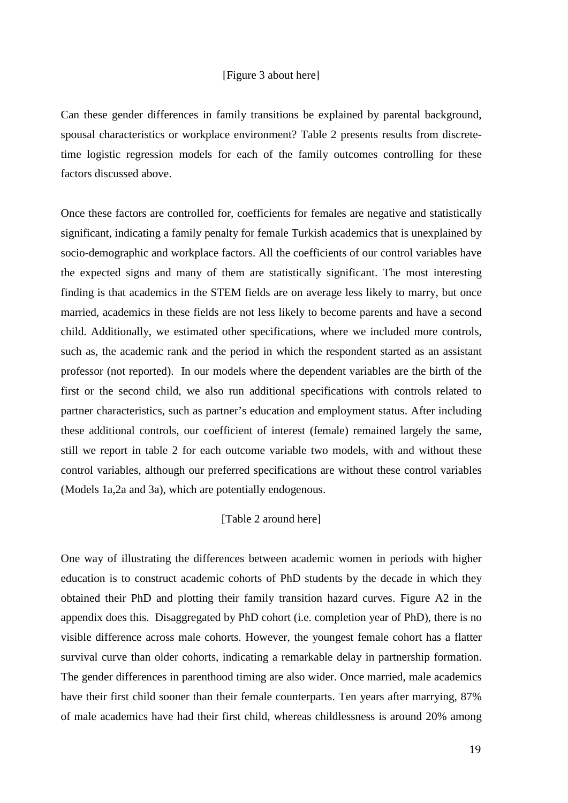#### [Figure 3 about here]

Can these gender differences in family transitions be explained by parental background, spousal characteristics or workplace environment? Table 2 presents results from discretetime logistic regression models for each of the family outcomes controlling for these factors discussed above.

Once these factors are controlled for, coefficients for females are negative and statistically significant, indicating a family penalty for female Turkish academics that is unexplained by socio-demographic and workplace factors. All the coefficients of our control variables have the expected signs and many of them are statistically significant. The most interesting finding is that academics in the STEM fields are on average less likely to marry, but once married, academics in these fields are not less likely to become parents and have a second child. Additionally, we estimated other specifications, where we included more controls, such as, the academic rank and the period in which the respondent started as an assistant professor (not reported). In our models where the dependent variables are the birth of the first or the second child, we also run additional specifications with controls related to partner characteristics, such as partner's education and employment status. After including these additional controls, our coefficient of interest (female) remained largely the same, still we report in table 2 for each outcome variable two models, with and without these control variables, although our preferred specifications are without these control variables (Models 1a,2a and 3a), which are potentially endogenous.

#### [Table 2 around here]

One way of illustrating the differences between academic women in periods with higher education is to construct academic cohorts of PhD students by the decade in which they obtained their PhD and plotting their family transition hazard curves. Figure A2 in the appendix does this. Disaggregated by PhD cohort (i.e. completion year of PhD), there is no visible difference across male cohorts. However, the youngest female cohort has a flatter survival curve than older cohorts, indicating a remarkable delay in partnership formation. The gender differences in parenthood timing are also wider. Once married, male academics have their first child sooner than their female counterparts. Ten years after marrying, 87% of male academics have had their first child, whereas childlessness is around 20% among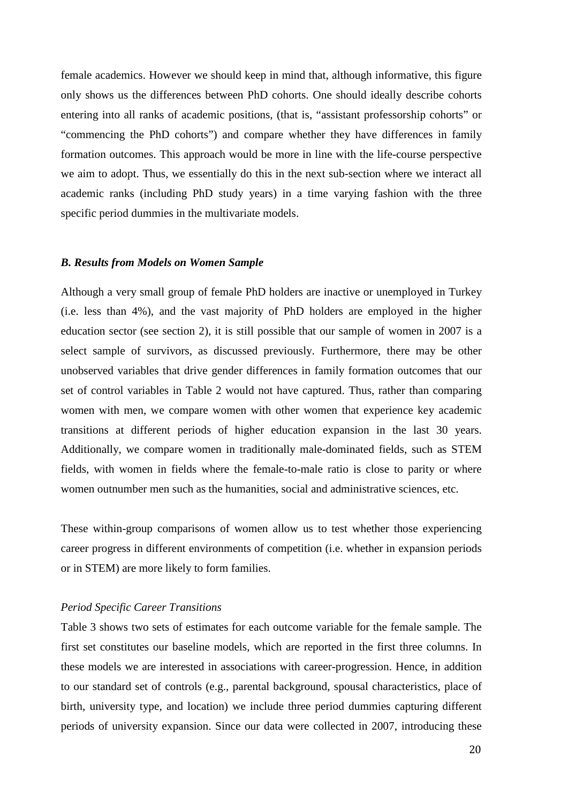female academics. However we should keep in mind that, although informative, this figure only shows us the differences between PhD cohorts. One should ideally describe cohorts entering into all ranks of academic positions, (that is, "assistant professorship cohorts" or "commencing the PhD cohorts") and compare whether they have differences in family formation outcomes. This approach would be more in line with the life-course perspective we aim to adopt. Thus, we essentially do this in the next sub-section where we interact all academic ranks (including PhD study years) in a time varying fashion with the three specific period dummies in the multivariate models.

#### *B. Results from Models on Women Sample*

Although a very small group of female PhD holders are inactive or unemployed in Turkey (i.e. less than 4%), and the vast majority of PhD holders are employed in the higher education sector (see section 2), it is still possible that our sample of women in 2007 is a select sample of survivors, as discussed previously. Furthermore, there may be other unobserved variables that drive gender differences in family formation outcomes that our set of control variables in Table 2 would not have captured. Thus, rather than comparing women with men, we compare women with other women that experience key academic transitions at different periods of higher education expansion in the last 30 years. Additionally, we compare women in traditionally male-dominated fields, such as STEM fields, with women in fields where the female-to-male ratio is close to parity or where women outnumber men such as the humanities, social and administrative sciences, etc.

These within-group comparisons of women allow us to test whether those experiencing career progress in different environments of competition (i.e. whether in expansion periods or in STEM) are more likely to form families.

#### *Period Specific Career Transitions*

Table 3 shows two sets of estimates for each outcome variable for the female sample. The first set constitutes our baseline models, which are reported in the first three columns. In these models we are interested in associations with career-progression. Hence, in addition to our standard set of controls (e.g., parental background, spousal characteristics, place of birth, university type, and location) we include three period dummies capturing different periods of university expansion. Since our data were collected in 2007, introducing these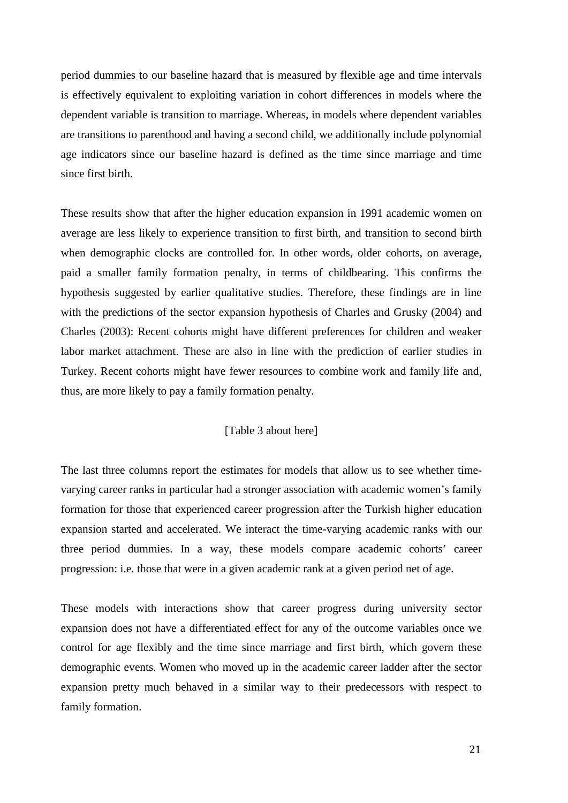period dummies to our baseline hazard that is measured by flexible age and time intervals is effectively equivalent to exploiting variation in cohort differences in models where the dependent variable is transition to marriage. Whereas, in models where dependent variables are transitions to parenthood and having a second child, we additionally include polynomial age indicators since our baseline hazard is defined as the time since marriage and time since first birth.

These results show that after the higher education expansion in 1991 academic women on average are less likely to experience transition to first birth, and transition to second birth when demographic clocks are controlled for. In other words, older cohorts, on average, paid a smaller family formation penalty, in terms of childbearing. This confirms the hypothesis suggested by earlier qualitative studies. Therefore, these findings are in line with the predictions of the sector expansion hypothesis of Charles and Grusky (2004) and Charles (2003): Recent cohorts might have different preferences for children and weaker labor market attachment. These are also in line with the prediction of earlier studies in Turkey. Recent cohorts might have fewer resources to combine work and family life and, thus, are more likely to pay a family formation penalty.

#### [Table 3 about here]

The last three columns report the estimates for models that allow us to see whether timevarying career ranks in particular had a stronger association with academic women's family formation for those that experienced career progression after the Turkish higher education expansion started and accelerated. We interact the time-varying academic ranks with our three period dummies. In a way, these models compare academic cohorts' career progression: i.e. those that were in a given academic rank at a given period net of age.

These models with interactions show that career progress during university sector expansion does not have a differentiated effect for any of the outcome variables once we control for age flexibly and the time since marriage and first birth, which govern these demographic events. Women who moved up in the academic career ladder after the sector expansion pretty much behaved in a similar way to their predecessors with respect to family formation.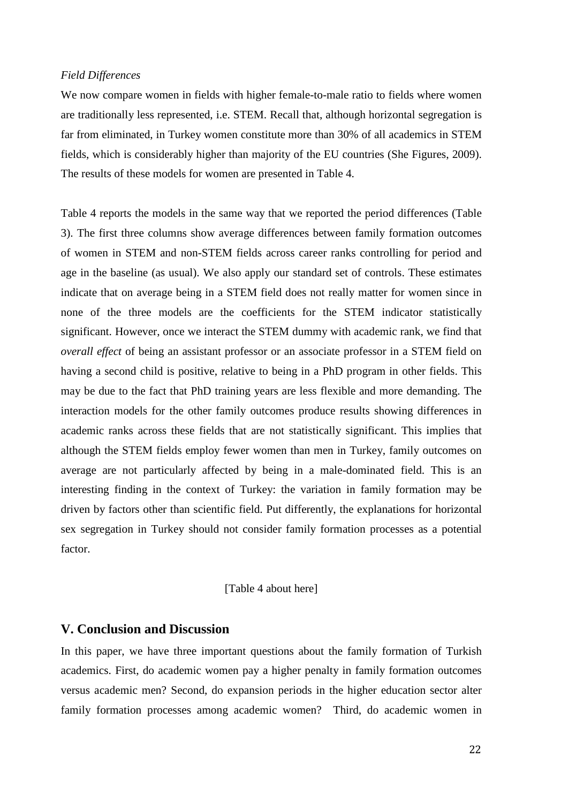#### *Field Differences*

We now compare women in fields with higher female-to-male ratio to fields where women are traditionally less represented, i.e. STEM. Recall that, although horizontal segregation is far from eliminated, in Turkey women constitute more than 30% of all academics in STEM fields, which is considerably higher than majority of the EU countries (She Figures, 2009). The results of these models for women are presented in Table 4.

Table 4 reports the models in the same way that we reported the period differences (Table 3). The first three columns show average differences between family formation outcomes of women in STEM and non-STEM fields across career ranks controlling for period and age in the baseline (as usual). We also apply our standard set of controls. These estimates indicate that on average being in a STEM field does not really matter for women since in none of the three models are the coefficients for the STEM indicator statistically significant. However, once we interact the STEM dummy with academic rank, we find that *overall effect* of being an assistant professor or an associate professor in a STEM field on having a second child is positive, relative to being in a PhD program in other fields. This may be due to the fact that PhD training years are less flexible and more demanding. The interaction models for the other family outcomes produce results showing differences in academic ranks across these fields that are not statistically significant. This implies that although the STEM fields employ fewer women than men in Turkey, family outcomes on average are not particularly affected by being in a male-dominated field. This is an interesting finding in the context of Turkey: the variation in family formation may be driven by factors other than scientific field. Put differently, the explanations for horizontal sex segregation in Turkey should not consider family formation processes as a potential factor.

#### [Table 4 about here]

#### **V. Conclusion and Discussion**

In this paper, we have three important questions about the family formation of Turkish academics. First, do academic women pay a higher penalty in family formation outcomes versus academic men? Second, do expansion periods in the higher education sector alter family formation processes among academic women? Third, do academic women in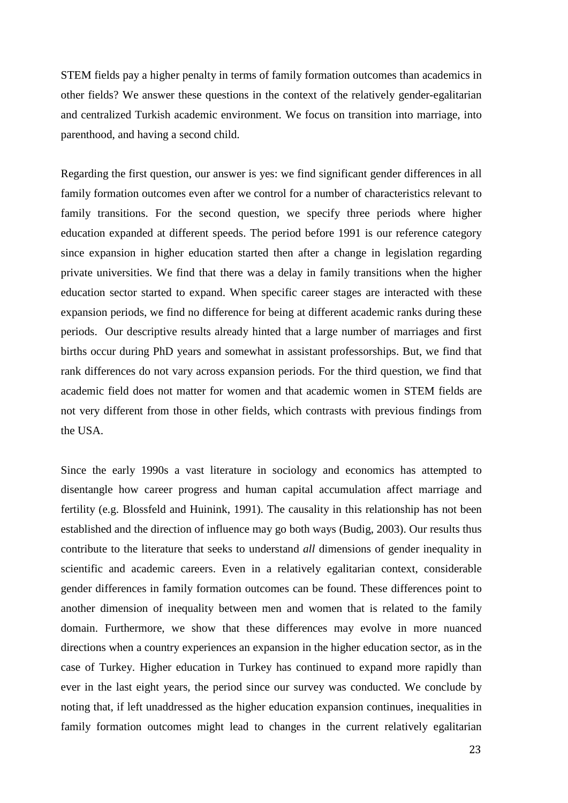STEM fields pay a higher penalty in terms of family formation outcomes than academics in other fields? We answer these questions in the context of the relatively gender-egalitarian and centralized Turkish academic environment. We focus on transition into marriage, into parenthood, and having a second child.

Regarding the first question, our answer is yes: we find significant gender differences in all family formation outcomes even after we control for a number of characteristics relevant to family transitions. For the second question, we specify three periods where higher education expanded at different speeds. The period before 1991 is our reference category since expansion in higher education started then after a change in legislation regarding private universities. We find that there was a delay in family transitions when the higher education sector started to expand. When specific career stages are interacted with these expansion periods, we find no difference for being at different academic ranks during these periods. Our descriptive results already hinted that a large number of marriages and first births occur during PhD years and somewhat in assistant professorships. But, we find that rank differences do not vary across expansion periods. For the third question, we find that academic field does not matter for women and that academic women in STEM fields are not very different from those in other fields, which contrasts with previous findings from the USA.

Since the early 1990s a vast literature in sociology and economics has attempted to disentangle how career progress and human capital accumulation affect marriage and fertility (e.g. Blossfeld and Huinink, 1991). The causality in this relationship has not been established and the direction of influence may go both ways (Budig, 2003). Our results thus contribute to the literature that seeks to understand *all* dimensions of gender inequality in scientific and academic careers. Even in a relatively egalitarian context, considerable gender differences in family formation outcomes can be found. These differences point to another dimension of inequality between men and women that is related to the family domain. Furthermore, we show that these differences may evolve in more nuanced directions when a country experiences an expansion in the higher education sector, as in the case of Turkey. Higher education in Turkey has continued to expand more rapidly than ever in the last eight years, the period since our survey was conducted. We conclude by noting that, if left unaddressed as the higher education expansion continues, inequalities in family formation outcomes might lead to changes in the current relatively egalitarian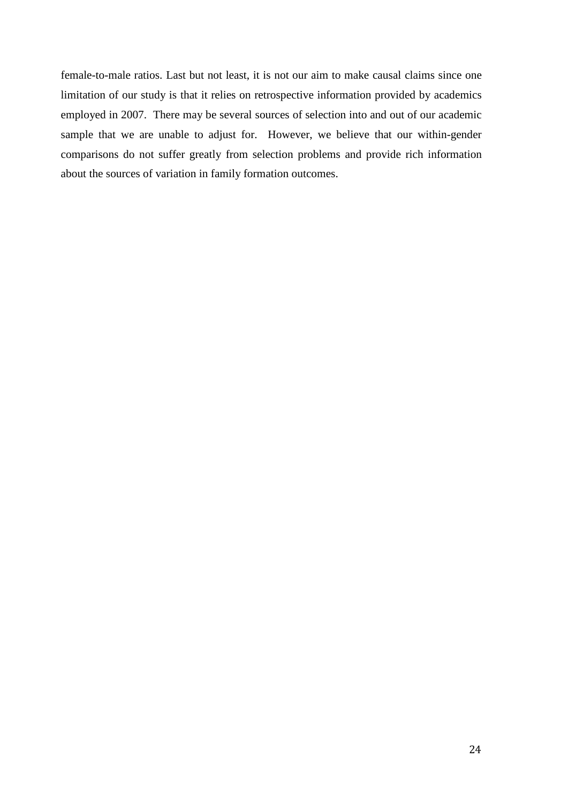female-to-male ratios. Last but not least, it is not our aim to make causal claims since one limitation of our study is that it relies on retrospective information provided by academics employed in 2007. There may be several sources of selection into and out of our academic sample that we are unable to adjust for. However, we believe that our within-gender comparisons do not suffer greatly from selection problems and provide rich information about the sources of variation in family formation outcomes.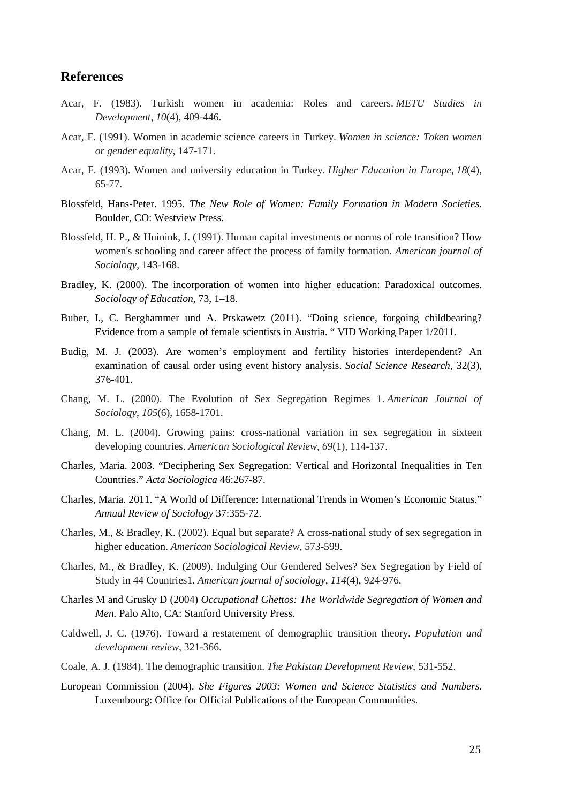### **References**

- Acar, F. (1983). Turkish women in academia: Roles and careers. *METU Studies in Development*, *10*(4), 409-446.
- Acar, F. (1991). Women in academic science careers in Turkey. *Women in science: Token women or gender equality*, 147-171.
- Acar, F. (1993). Women and university education in Turkey. *Higher Education in Europe*, *18*(4), 65-77.
- Blossfeld, Hans-Peter. 1995. *The New Role of Women: Family Formation in Modern Societies.*  Boulder, CO: Westview Press.
- Blossfeld, H. P., & Huinink, J. (1991). Human capital investments or norms of role transition? How women's schooling and career affect the process of family formation. *American journal of Sociology*, 143-168.
- Bradley, K. (2000). The incorporation of women into higher education: Paradoxical outcomes. *Sociology of Education*, 73, 1–18.
- Buber, I., C. Berghammer und A. Prskawetz (2011). "Doing science, forgoing childbearing? Evidence from a sample of female scientists in Austria. " VID Working Paper 1/2011.
- Budig, M. J. (2003). Are women's employment and fertility histories interdependent? An examination of causal order using event history analysis. *Social Science Research*, 32(3), 376-401.
- Chang, M. L. (2000). The Evolution of Sex Segregation Regimes 1. *American Journal of Sociology*, *105*(6), 1658-1701.
- Chang, M. L. (2004). Growing pains: cross-national variation in sex segregation in sixteen developing countries. *American Sociological Review*, *69*(1), 114-137.
- Charles, Maria. 2003. "Deciphering Sex Segregation: Vertical and Horizontal Inequalities in Ten Countries." *Acta Sociologica* 46:267-87.
- Charles, Maria. 2011. "A World of Difference: International Trends in Women's Economic Status." *Annual Review of Sociology* 37:355-72.
- Charles, M., & Bradley, K. (2002). Equal but separate? A cross-national study of sex segregation in higher education. *American Sociological Review*, 573-599.
- Charles, M., & Bradley, K. (2009). Indulging Our Gendered Selves? Sex Segregation by Field of Study in 44 Countries1. *American journal of sociology*, *114*(4), 924-976.
- Charles M and Grusky D (2004) *Occupational Ghettos: The Worldwide Segregation of Women and Men.* Palo Alto, CA: Stanford University Press.
- Caldwell, J. C. (1976). Toward a restatement of demographic transition theory. *Population and development review*, 321-366.
- Coale, A. J. (1984). The demographic transition. *The Pakistan Development Review*, 531-552.
- European Commission (2004). *She Figures 2003: Women and Science Statistics and Numbers.* Luxembourg: Office for Official Publications of the European Communities.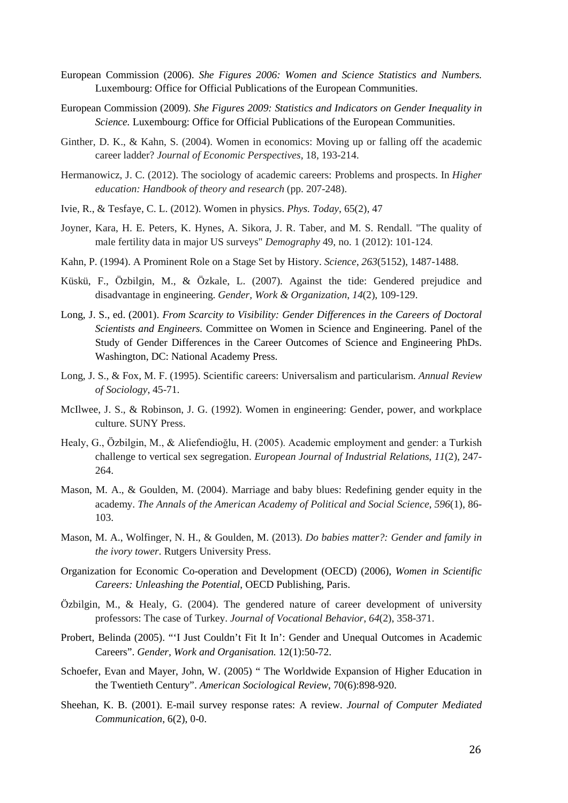- European Commission (2006). *She Figures 2006: Women and Science Statistics and Numbers.* Luxembourg: Office for Official Publications of the European Communities.
- European Commission (2009). *She Figures 2009: Statistics and Indicators on Gender Inequality in Science.* Luxembourg: Office for Official Publications of the European Communities.
- Ginther, D. K., & Kahn, S. (2004). Women in economics: Moving up or falling off the academic career ladder? *Journal of Economic Perspectives,* 18, 193-214.
- Hermanowicz, J. C. (2012). The sociology of academic careers: Problems and prospects. In *Higher education: Handbook of theory and research* (pp. 207-248).
- Ivie, R., & Tesfaye, C. L. (2012). Women in physics. *Phys. Today*, 65(2), 47
- Joyner, Kara, H. E. Peters, K. Hynes, A. Sikora, J. R. Taber, and M. S. Rendall. "The quality of male fertility data in major US surveys" *Demography* 49, no. 1 (2012): 101-124.
- Kahn, P. (1994). A Prominent Role on a Stage Set by History. *Science*, *263*(5152), 1487-1488.
- Küskü, F., Özbilgin, M., & Özkale, L. (2007). Against the tide: Gendered prejudice and disadvantage in engineering. *Gender, Work & Organization*, *14*(2), 109-129.
- Long, J. S., ed. (2001). *From Scarcity to Visibility: Gender Differences in the Careers of Doctoral Scientists and Engineers.* Committee on Women in Science and Engineering. Panel of the Study of Gender Differences in the Career Outcomes of Science and Engineering PhDs. Washington, DC: National Academy Press.
- Long, J. S., & Fox, M. F. (1995). Scientific careers: Universalism and particularism. *Annual Review of Sociology*, 45-71.
- McIlwee, J. S., & Robinson, J. G. (1992). Women in engineering: Gender, power, and workplace culture. SUNY Press.
- Healy, G., Özbilgin, M., & Aliefendioğlu, H. (2005). Academic employment and gender: a Turkish challenge to vertical sex segregation. *European Journal of Industrial Relations*, *11*(2), 247- 264.
- Mason, M. A., & Goulden, M. (2004). Marriage and baby blues: Redefining gender equity in the academy. *The Annals of the American Academy of Political and Social Science*, *596*(1), 86- 103.
- Mason, M. A., Wolfinger, N. H., & Goulden, M. (2013). *Do babies matter?: Gender and family in the ivory tower*. Rutgers University Press.
- Organization for Economic Co-operation and Development (OECD) (2006), *Women in Scientific Careers: Unleashing the Potential*, OECD Publishing, Paris.
- Özbilgin, M., & Healy, G. (2004). The gendered nature of career development of university professors: The case of Turkey. *Journal of Vocational Behavior*, *64*(2), 358-371.
- Probert, Belinda (2005). "'I Just Couldn't Fit It In': Gender and Unequal Outcomes in Academic Careers". *Gender, Work and Organisation.* 12(1):50-72.
- Schoefer, Evan and Mayer, John, W. (2005) " The Worldwide Expansion of Higher Education in the Twentieth Century". *American Sociological Review*, 70(6):898-920.
- Sheehan, K. B. (2001). E-mail survey response rates: A review. *Journal of Computer Mediated Communication*, 6(2), 0-0.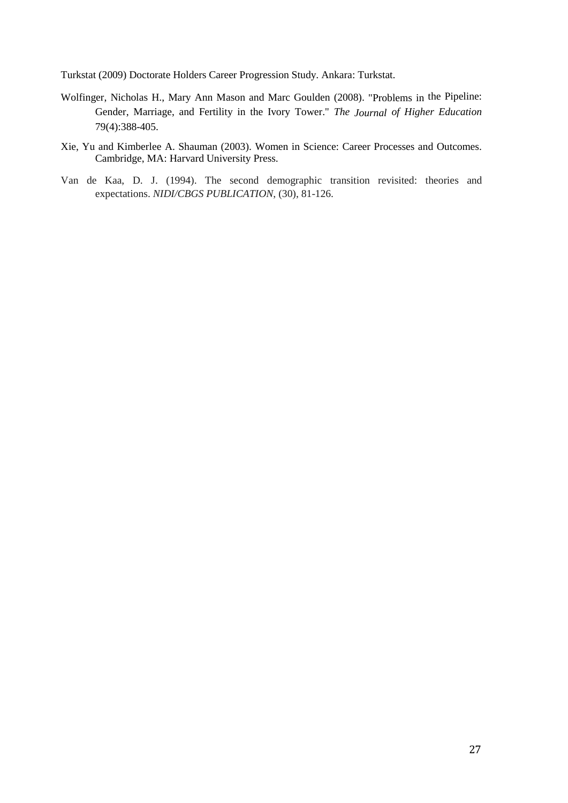Turkstat (2009) Doctorate Holders Career Progression Study. Ankara: Turkstat.

- Wolfinger, Nicholas H., Mary Ann Mason and Marc Goulden (2008). "Problems in the Pipeline: Gender, Marriage, and Fertility in the Ivory Tower." *The Journal of Higher Education*  79(4):388-405.
- Xie, Yu and Kimberlee A. Shauman (2003). Women in Science: Career Processes and Outcomes. Cambridge, MA: Harvard University Press.
- Van de Kaa, D. J. (1994). The second demographic transition revisited: theories and expectations. *NIDI/CBGS PUBLICATION*, (30), 81-126.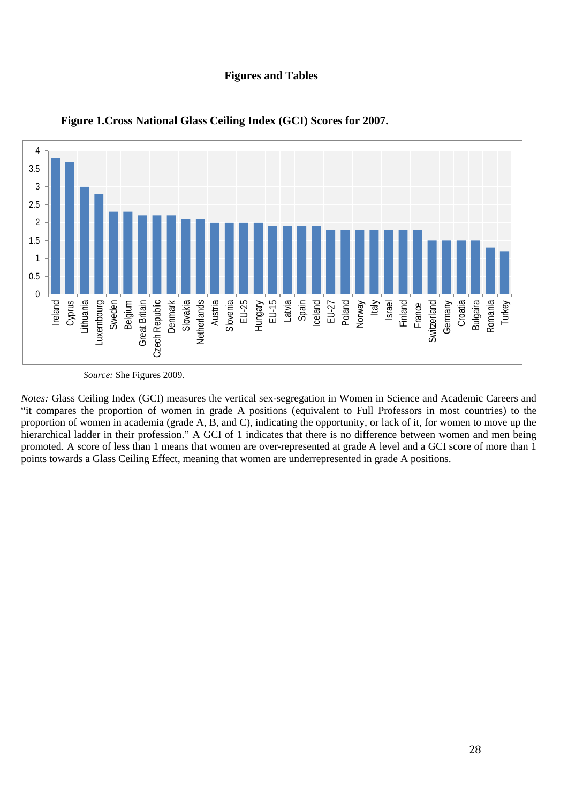#### **Figures and Tables**



**Figure 1.Cross National Glass Ceiling Index (GCI) Scores for 2007.** 

*Source:* She Figures 2009.

*Notes:* Glass Ceiling Index (GCI) measures the vertical sex-segregation in Women in Science and Academic Careers and "it compares the proportion of women in grade A positions (equivalent to Full Professors in most countries) to the proportion of women in academia (grade A, B, and C), indicating the opportunity, or lack of it, for women to move up the hierarchical ladder in their profession." A GCI of 1 indicates that there is no difference between women and men being promoted. A score of less than 1 means that women are over-represented at grade A level and a GCI score of more than 1 points towards a Glass Ceiling Effect, meaning that women are underrepresented in grade A positions.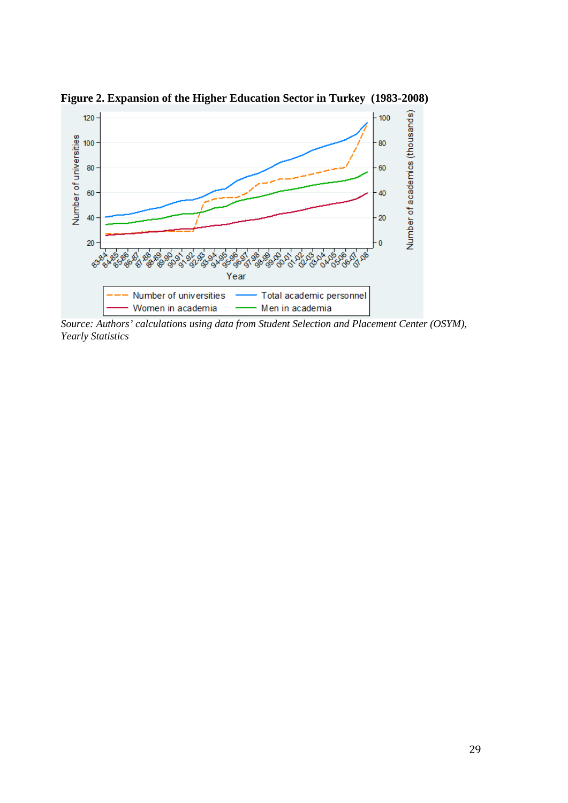

**Figure 2. Expansion of the Higher Education Sector in Turkey (1983-2008)**

*Source: Authors' calculations using data from Student Selection and Placement Center (OSYM), Yearly Statistics*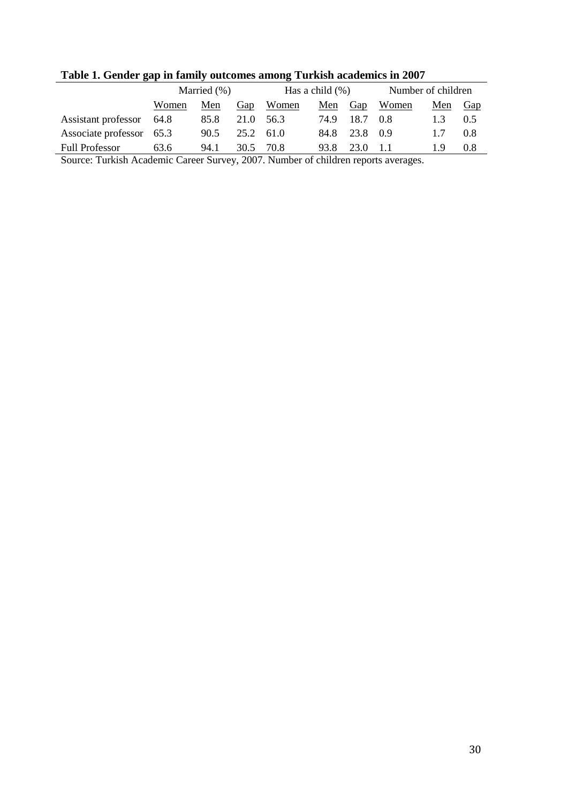|                       | Married $(\% )$ |      |      | Has a child $(\%)$ |      |          | Number of children |            |            |  |
|-----------------------|-----------------|------|------|--------------------|------|----------|--------------------|------------|------------|--|
|                       | Women           | Men  | Gap  | Women              | Men  | Gap      | Women              | <u>Men</u> | <b>Gap</b> |  |
| Assistant professor   | 64.8            | 85.8 | 21.0 | 56.3               | 74.9 | 18.7     | 08                 | 1.3        | 0.5        |  |
| Associate professor   | 65.3            | 90.5 | 25.2 | 61.0               | 84.8 | 23.8 0.9 |                    | 1.7        | 0.8        |  |
| <b>Full Professor</b> | 63.6            | 94.1 | 30.5 | 70.8               | 93.8 | 23.0     | 1.1                | 1.9        | 0.8        |  |

**Table 1. Gender gap in family outcomes among Turkish academics in 2007**

Source: Turkish Academic Career Survey, 2007. Number of children reports averages.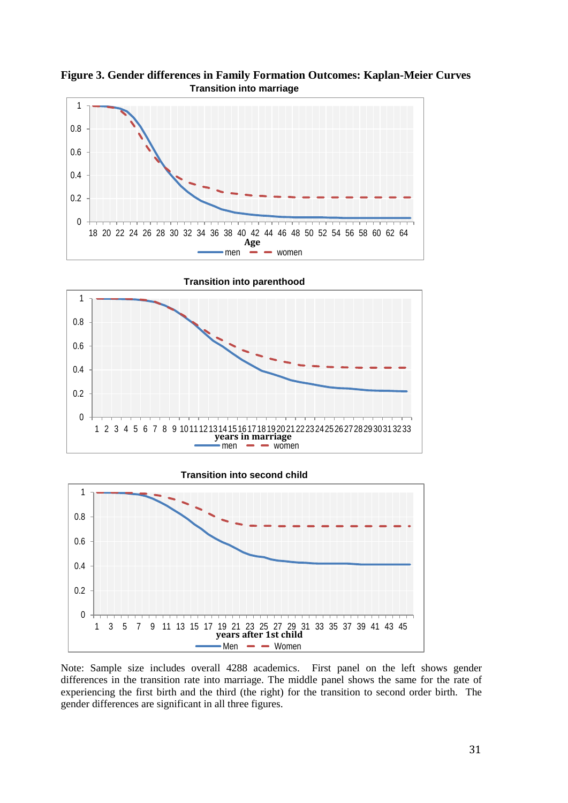

**Figure 3. Gender differences in Family Formation Outcomes: Kaplan-Meier Curves Transition into marriage**

**Transition into parenthood** 



**Transition into second child**



Note: Sample size includes overall 4288 academics. First panel on the left shows gender differences in the transition rate into marriage. The middle panel shows the same for the rate of experiencing the first birth and the third (the right) for the transition to second order birth. The gender differences are significant in all three figures.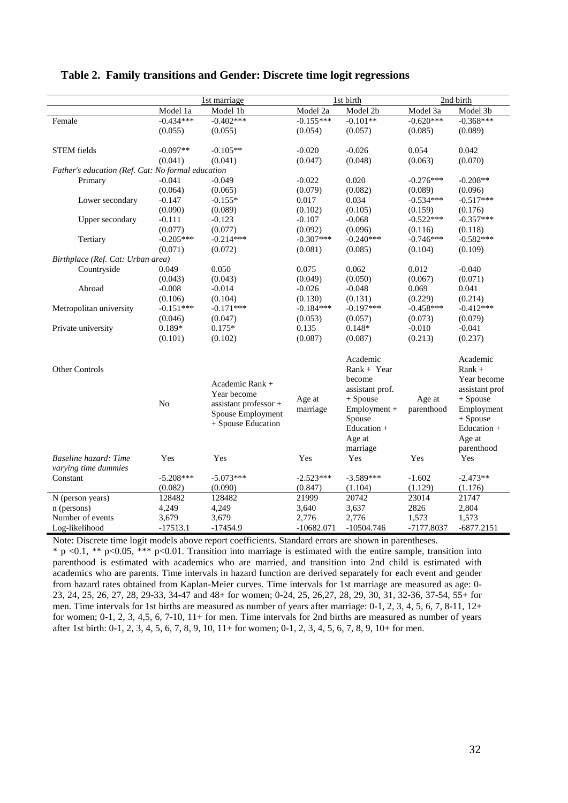|                                                                             | 1st marriage                         |                                                                                                                          | 1st birth                                |                                                                                                                                                           | 2nd birth                               |                                                                                                                                                             |
|-----------------------------------------------------------------------------|--------------------------------------|--------------------------------------------------------------------------------------------------------------------------|------------------------------------------|-----------------------------------------------------------------------------------------------------------------------------------------------------------|-----------------------------------------|-------------------------------------------------------------------------------------------------------------------------------------------------------------|
|                                                                             | Model 1a                             | Model 1b                                                                                                                 | Model 2a                                 | Model 2b                                                                                                                                                  | Model 3a                                | Model 3b                                                                                                                                                    |
| Female                                                                      | $-0.434***$                          | $-0.402***$                                                                                                              | $-0.155***$                              | $-0.101**$                                                                                                                                                | $-0.620***$                             | $-0.368***$                                                                                                                                                 |
|                                                                             | (0.055)                              | (0.055)                                                                                                                  | (0.054)                                  | (0.057)                                                                                                                                                   | (0.085)                                 | (0.089)                                                                                                                                                     |
|                                                                             |                                      |                                                                                                                          |                                          |                                                                                                                                                           |                                         |                                                                                                                                                             |
| <b>STEM</b> fields                                                          | $-0.097**$                           | $-0.105**$                                                                                                               | $-0.020$                                 | $-0.026$                                                                                                                                                  | 0.054                                   | 0.042                                                                                                                                                       |
|                                                                             | (0.041)                              | (0.041)                                                                                                                  | (0.047)                                  | (0.048)                                                                                                                                                   | (0.063)                                 | (0.070)                                                                                                                                                     |
| Father's education (Ref. Cat: No formal education                           |                                      |                                                                                                                          |                                          |                                                                                                                                                           |                                         |                                                                                                                                                             |
| Primary                                                                     | $-0.041$                             | $-0.049$                                                                                                                 | $-0.022$                                 | 0.020                                                                                                                                                     | $-0.276***$                             | $-0.208**$                                                                                                                                                  |
|                                                                             | (0.064)                              | (0.065)                                                                                                                  | (0.079)                                  | (0.082)                                                                                                                                                   | (0.089)                                 | (0.096)                                                                                                                                                     |
| Lower secondary                                                             | $-0.147$                             | $-0.155*$                                                                                                                | 0.017                                    | 0.034                                                                                                                                                     | $-0.534***$                             | $-0.517***$                                                                                                                                                 |
|                                                                             | (0.090)                              | (0.089)                                                                                                                  | (0.102)                                  | (0.105)                                                                                                                                                   | (0.159)                                 | (0.176)                                                                                                                                                     |
| Upper secondary                                                             | $-0.111$                             | $-0.123$                                                                                                                 | $-0.107$                                 | $-0.068$                                                                                                                                                  | $-0.522***$                             | $-0.357***$                                                                                                                                                 |
|                                                                             | (0.077)                              | (0.077)                                                                                                                  | (0.092)                                  | (0.096)                                                                                                                                                   | (0.116)                                 | (0.118)                                                                                                                                                     |
| Tertiary                                                                    | $-0.205***$                          | $-0.214***$                                                                                                              | $-0.307***$                              | $-0.240***$                                                                                                                                               | $-0.746***$                             | $-0.582***$                                                                                                                                                 |
|                                                                             | (0.071)                              | (0.072)                                                                                                                  | (0.081)                                  | (0.085)                                                                                                                                                   | (0.104)                                 | (0.109)                                                                                                                                                     |
| Birthplace (Ref. Cat: Urban area)                                           |                                      |                                                                                                                          |                                          |                                                                                                                                                           |                                         |                                                                                                                                                             |
| Countryside                                                                 | 0.049                                | 0.050                                                                                                                    | 0.075                                    | 0.062                                                                                                                                                     | 0.012                                   | $-0.040$                                                                                                                                                    |
|                                                                             | (0.043)                              | (0.043)                                                                                                                  | (0.049)                                  | (0.050)                                                                                                                                                   | (0.067)                                 | (0.071)                                                                                                                                                     |
| Abroad                                                                      | $-0.008$                             | $-0.014$                                                                                                                 | $-0.026$                                 | $-0.048$                                                                                                                                                  | 0.069                                   | 0.041                                                                                                                                                       |
|                                                                             | (0.106)                              | (0.104)                                                                                                                  | (0.130)                                  | (0.131)                                                                                                                                                   | (0.229)                                 | (0.214)                                                                                                                                                     |
| Metropolitan university                                                     | $-0.151***$                          | $-0.171***$                                                                                                              | $-0.184***$                              | $-0.197***$                                                                                                                                               | $-0.458***$                             | $-0.412***$                                                                                                                                                 |
|                                                                             | (0.046)                              | (0.047)                                                                                                                  | (0.053)                                  | (0.057)                                                                                                                                                   | (0.073)                                 | (0.079)                                                                                                                                                     |
| Private university                                                          | $0.189*$                             | $0.175*$                                                                                                                 | 0.135                                    | $0.148*$                                                                                                                                                  | $-0.010$                                | $-0.041$                                                                                                                                                    |
|                                                                             | (0.101)                              | (0.102)                                                                                                                  | (0.087)                                  | (0.087)                                                                                                                                                   | (0.213)                                 | (0.237)                                                                                                                                                     |
| Other Controls<br>Baseline hazard: Time<br>varying time dummies<br>Constant | N <sub>o</sub><br>Yes<br>$-5.208***$ | Academic Rank +<br>Year become<br>assistant professor +<br>Spouse Employment<br>+ Spouse Education<br>Yes<br>$-5.073***$ | Age at<br>marriage<br>Yes<br>$-2.523***$ | Academic<br>Rank + Year<br>become<br>assistant prof.<br>$+$ Spouse<br>$Employment +$<br>Spouse<br>Education +<br>Age at<br>marriage<br>Yes<br>$-3.589***$ | Age at<br>parenthood<br>Yes<br>$-1.602$ | Academic<br>$Rank +$<br>Year become<br>assistant prof<br>$+$ Spouse<br>Employment<br>$+$ Spouse<br>Education +<br>Age at<br>parenthood<br>Yes<br>$-2.473**$ |
|                                                                             | (0.082)                              | (0.090)                                                                                                                  | (0.847)                                  | (1.104)                                                                                                                                                   | (1.129)                                 | (1.176)                                                                                                                                                     |
| N (person years)                                                            | 128482                               | 128482                                                                                                                   | 21999                                    | 20742                                                                                                                                                     | 23014                                   | 21747                                                                                                                                                       |
| n (persons)                                                                 | 4,249                                | 4,249                                                                                                                    | 3,640                                    | 3,637                                                                                                                                                     | 2826                                    | 2,804                                                                                                                                                       |
| Number of events                                                            | 3,679                                | 3,679                                                                                                                    | 2,776                                    | 2,776                                                                                                                                                     | 1,573                                   | 1,573                                                                                                                                                       |
| Log-likelihood                                                              | $-17513.1$                           | -17454.9                                                                                                                 | $-10682.071$                             | -10504.746                                                                                                                                                | -7177.8037                              | $-6877.2151$                                                                                                                                                |

#### **Table 2. Family transitions and Gender: Discrete time logit regressions**

Note: Discrete time logit models above report coefficients. Standard errors are shown in parentheses. \* p <0.1, \*\* p<0.05, \*\*\* p<0.01. Transition into marriage is estimated with the entire sample, transition into parenthood is estimated with academics who are married, and transition into 2nd child is estimated with

academics who are parents. Time intervals in hazard function are derived separately for each event and gender from hazard rates obtained from Kaplan-Meier curves. Time intervals for 1st marriage are measured as age: 0- 23, 24, 25, 26, 27, 28, 29-33, 34-47 and 48+ for women; 0-24, 25, 26,27, 28, 29, 30, 31, 32-36, 37-54, 55+ for men. Time intervals for 1st births are measured as number of years after marriage: 0-1, 2, 3, 4, 5, 6, 7, 8-11, 12+ for women; 0-1, 2, 3, 4,5, 6, 7-10, 11+ for men. Time intervals for 2nd births are measured as number of years after 1st birth: 0-1, 2, 3, 4, 5, 6, 7, 8, 9, 10, 11+ for women; 0-1, 2, 3, 4, 5, 6, 7, 8, 9, 10+ for men.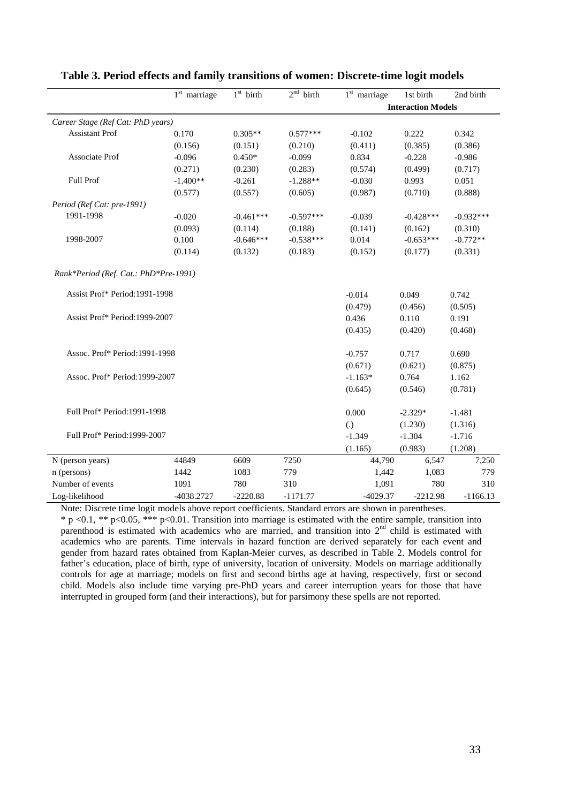|                                                                         | $1^{\rm{st}}$<br>marriage | $1st$ birth | $2^{nd}$<br>birth | 1 <sup>st</sup><br>marriage | 1st birth                 | 2nd birth   |
|-------------------------------------------------------------------------|---------------------------|-------------|-------------------|-----------------------------|---------------------------|-------------|
|                                                                         |                           |             |                   |                             | <b>Interaction Models</b> |             |
| Career Stage (Ref Cat: PhD years)                                       |                           |             |                   |                             |                           |             |
| <b>Assistant Prof</b>                                                   | 0.170                     | $0.305**$   | $0.577***$        | $-0.102$                    | 0.222                     | 0.342       |
|                                                                         | (0.156)                   | (0.151)     | (0.210)           | (0.411)                     | (0.385)                   | (0.386)     |
| <b>Associate Prof</b>                                                   | $-0.096$                  | $0.450*$    | $-0.099$          | 0.834                       | $-0.228$                  | $-0.986$    |
|                                                                         | (0.271)                   | (0.230)     | (0.283)           | (0.574)                     | (0.499)                   | (0.717)     |
| Full Prof                                                               | $-1.400**$                | $-0.261$    | $-1.288**$        | $-0.030$                    | 0.993                     | 0.051       |
|                                                                         | (0.577)                   | (0.557)     | (0.605)           | (0.987)                     | (0.710)                   | (0.888)     |
| Period (Ref Cat: pre-1991)                                              |                           |             |                   |                             |                           |             |
| 1991-1998                                                               | $-0.020$                  | $-0.461***$ | $-0.597***$       | $-0.039$                    | $-0.428***$               | $-0.932***$ |
|                                                                         | (0.093)                   | (0.114)     | (0.188)           | (0.141)                     | (0.162)                   | (0.310)     |
| 1998-2007                                                               | 0.100                     | $-0.646***$ | $-0.538***$       | 0.014                       | $-0.653***$               | $-0.772**$  |
|                                                                         | (0.114)                   | (0.132)     | (0.183)           | (0.152)                     | (0.177)                   | (0.331)     |
| Rank*Period (Ref. Cat.: PhD*Pre-1991)<br>Assist Prof* Period: 1991-1998 |                           |             |                   | $-0.014$                    | 0.049                     | 0.742       |
|                                                                         |                           |             |                   | (0.479)                     | (0.456)                   | (0.505)     |
| Assist Prof* Period:1999-2007                                           |                           |             |                   | 0.436                       | 0.110                     | 0.191       |
|                                                                         |                           |             |                   | (0.435)                     | (0.420)                   | (0.468)     |
| Assoc. Prof* Period:1991-1998                                           |                           |             |                   | $-0.757$                    | 0.717                     | 0.690       |
|                                                                         |                           |             |                   | (0.671)                     | (0.621)                   | (0.875)     |
| Assoc. Prof* Period:1999-2007                                           |                           |             |                   | $-1.163*$                   | 0.764                     | 1.162       |
|                                                                         |                           |             |                   | (0.645)                     | (0.546)                   | (0.781)     |
| Full Prof* Period:1991-1998                                             |                           |             |                   | 0.000                       | $-2.329*$                 | $-1.481$    |
|                                                                         |                           |             |                   | $\left( .\right)$           | (1.230)                   | (1.316)     |
| Full Prof* Period:1999-2007                                             |                           |             |                   | $-1.349$                    | $-1.304$                  | $-1.716$    |
|                                                                         |                           |             |                   | (1.165)                     | (0.983)                   | (1.208)     |
| N (person years)                                                        | 44849                     | 6609        | 7250              | 44,790                      | 6,547                     | 7,250       |
| n (persons)                                                             | 1442                      | 1083        | 779               | 1,442                       | 1,083                     | 779         |
| Number of events                                                        | 1091                      | 780         | 310               | 1,091                       | 780                       | 310         |
| Log-likelihood                                                          | -4038.2727                | $-2220.88$  | $-1171.77$        | $-4029.37$                  | $-2212.98$                | $-1166.13$  |

#### **Table 3. Period effects and family transitions of women: Discrete-time logit models**

Note: Discrete time logit models above report coefficients. Standard errors are shown in parentheses. \* p <0.1, \*\* p<0.05, \*\*\* p<0.01. Transition into marriage is estimated with the entire sample, transition into

parenthood is estimated with academics who are married, and transition into 2<sup>nd</sup> child is estimated with academics who are parents. Time intervals in hazard function are derived separately for each event and gender from hazard rates obtained from Kaplan-Meier curves, as described in Table 2. Models control for father's education, place of birth, type of university, location of university. Models on marriage additionally controls for age at marriage; models on first and second births age at having, respectively, first or second child. Models also include time varying pre-PhD years and career interruption years for those that have interrupted in grouped form (and their interactions), but for parsimony these spells are not reported.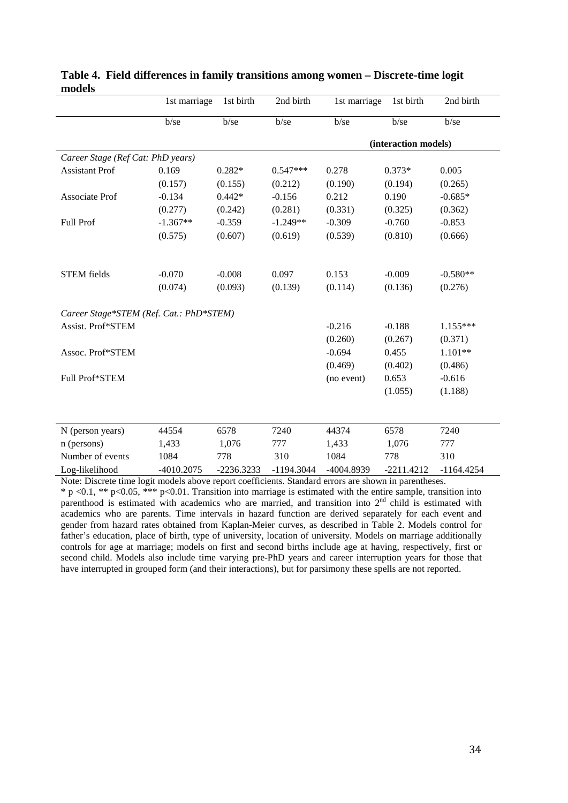|                                         | 1st marriage | 1st birth  | 2nd birth  | 1st marriage | 1st birth            | 2nd birth    |
|-----------------------------------------|--------------|------------|------------|--------------|----------------------|--------------|
|                                         | b/se         | b/se       | b/se       | b/se         | b/se                 | b/se         |
|                                         |              |            |            |              | (interaction models) |              |
| Career Stage (Ref Cat: PhD years)       |              |            |            |              |                      |              |
| <b>Assistant Prof</b>                   | 0.169        | $0.282*$   | $0.547***$ | 0.278        | $0.373*$             | 0.005        |
|                                         | (0.157)      | (0.155)    | (0.212)    | (0.190)      | (0.194)              | (0.265)      |
| Associate Prof                          | $-0.134$     | $0.442*$   | $-0.156$   | 0.212        | 0.190                | $-0.685*$    |
|                                         | (0.277)      | (0.242)    | (0.281)    | (0.331)      | (0.325)              | (0.362)      |
| Full Prof                               | $-1.367**$   | $-0.359$   | $-1.249**$ | $-0.309$     | $-0.760$             | $-0.853$     |
|                                         | (0.575)      | (0.607)    | (0.619)    | (0.539)      | (0.810)              | (0.666)      |
|                                         |              |            |            |              |                      |              |
| <b>STEM</b> fields                      | $-0.070$     | $-0.008$   | 0.097      | 0.153        | $-0.009$             | $-0.580**$   |
|                                         | (0.074)      | (0.093)    | (0.139)    | (0.114)      | (0.136)              | (0.276)      |
| Career Stage*STEM (Ref. Cat.: PhD*STEM) |              |            |            |              |                      |              |
| Assist. Prof*STEM                       |              |            |            | $-0.216$     | $-0.188$             | $1.155***$   |
|                                         |              |            |            | (0.260)      | (0.267)              | (0.371)      |
| Assoc. Prof*STEM                        |              |            |            | $-0.694$     | 0.455                | $1.101**$    |
|                                         |              |            |            | (0.469)      | (0.402)              | (0.486)      |
| Full Prof*STEM                          |              |            |            | (no event)   | 0.653                | $-0.616$     |
|                                         |              |            |            |              | (1.055)              | (1.188)      |
|                                         |              |            |            |              |                      |              |
| N (person years)                        | 44554        | 6578       | 7240       | 44374        | 6578                 | 7240         |
| n (persons)                             | 1,433        | 1,076      | 777        | 1,433        | 1,076                | 777          |
| Number of events                        | 1084         | 778        | 310        | 1084         | 778                  | 310          |
| Log-likelihood                          | $-4010.2075$ | -2236.3233 | -1194.3044 | -4004.8939   | $-2211.4212$         | $-1164.4254$ |

**Table 4. Field differences in family transitions among women – Discrete-time logit models**

Note: Discrete time logit models above report coefficients. Standard errors are shown in parentheses. \* p <0.1, \*\* p<0.05, \*\*\* p<0.01. Transition into marriage is estimated with the entire sample, transition into parenthood is estimated with academics who are married, and transition into  $2<sup>nd</sup>$  child is estimated with academics who are parents. Time intervals in hazard function are derived separately for each event and gender from hazard rates obtained from Kaplan-Meier curves, as described in Table 2. Models control for father's education, place of birth, type of university, location of university. Models on marriage additionally controls for age at marriage; models on first and second births include age at having, respectively, first or second child. Models also include time varying pre-PhD years and career interruption years for those that have interrupted in grouped form (and their interactions), but for parsimony these spells are not reported.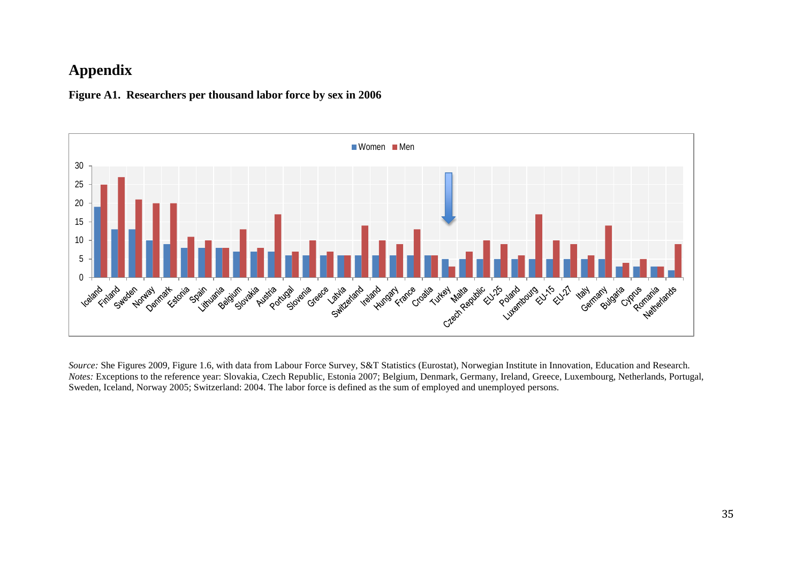# **Appendix**





*Source:* She Figures 2009, Figure 1.6, with data from Labour Force Survey, S&T Statistics (Eurostat), Norwegian Institute in Innovation, Education and Research. *Notes:* Exceptions to the reference year: Slovakia, Czech Republic, Estonia 2007; Belgium, Denmark, Germany, Ireland, Greece, Luxembourg, Netherlands, Portugal, Sweden, Iceland, Norway 2005; Switzerland: 2004. The labor force is defined as the sum of employed and unemployed persons.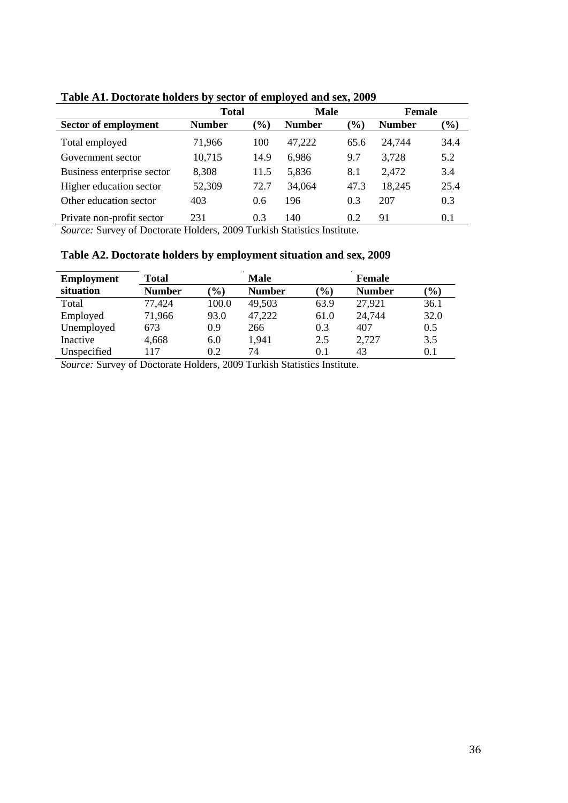|                            | <b>Total</b>  |                 | <b>Male</b>   |               | <b>Female</b> |        |
|----------------------------|---------------|-----------------|---------------|---------------|---------------|--------|
| Sector of employment       | <b>Number</b> | $\mathcal{O}_0$ | <b>Number</b> | $\frac{9}{0}$ | <b>Number</b> | $(\%)$ |
| Total employed             | 71,966        | 100             | 47,222        | 65.6          | 24.744        | 34.4   |
| Government sector          | 10,715        | 14.9            | 6,986         | 9.7           | 3.728         | 5.2    |
| Business enterprise sector | 8,308         | 11.5            | 5,836         | 8.1           | 2.472         | 3.4    |
| Higher education sector    | 52,309        | 72.7            | 34,064        | 47.3          | 18,245        | 25.4   |
| Other education sector     | 403           | 0.6             | 196           | 0.3           | 207           | 0.3    |
| Private non-profit sector  | 231           | 0.3             | 140           | 0.2           | 91            | 0.1    |

# **Table A1. Doctorate holders by sector of employed and sex, 2009**

*Source:* Survey of Doctorate Holders, 2009 Turkish Statistics Institute.

#### **Table A2. Doctorate holders by employment situation and sex, 2009**

| <b>Employment</b> | <b>Total</b> |        | <b>Male</b>   |                  | <b>Female</b> |                              |  |  |
|-------------------|--------------|--------|---------------|------------------|---------------|------------------------------|--|--|
| situation         | Number       | $(\%)$ | <b>Number</b> | $\mathcal{O}(6)$ | <b>Number</b> | $\left( \frac{0}{0} \right)$ |  |  |
| Total             | 77,424       | 100.0  | 49,503        | 63.9             | 27,921        | 36.1                         |  |  |
| Employed          | 71,966       | 93.0   | 47,222        | 61.0             | 24,744        | 32.0                         |  |  |
| Unemployed        | 673          | 0.9    | 266           | 0.3              | 407           | 0.5                          |  |  |
| Inactive          | 4,668        | 6.0    | 1,941         | 2.5              | 2,727         | 3.5                          |  |  |
| Unspecified       | 117          | 0.2    | 74            | 0.1              | 43            | $0.1\,$                      |  |  |

*Source:* Survey of Doctorate Holders, 2009 Turkish Statistics Institute.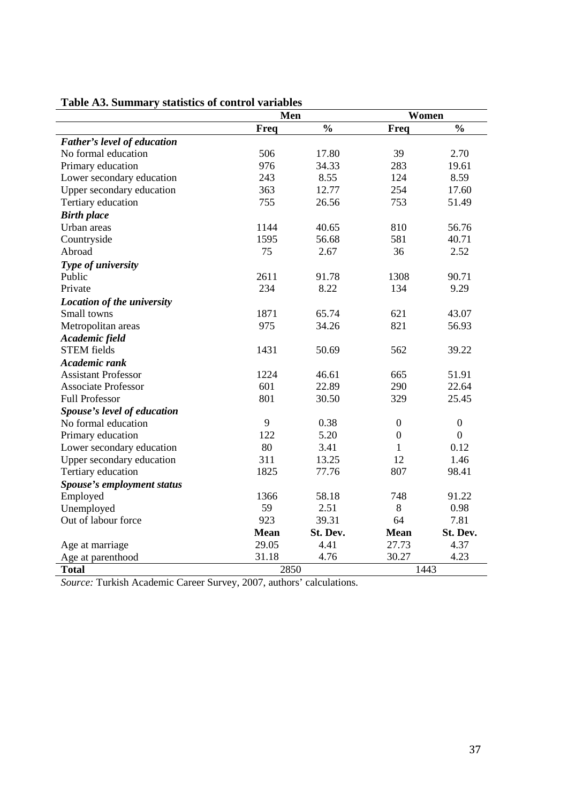|                             | Men         |               | Women            |                  |  |
|-----------------------------|-------------|---------------|------------------|------------------|--|
|                             | Freq        | $\frac{0}{0}$ | Freq             | $\frac{0}{0}$    |  |
| Father's level of education |             |               |                  |                  |  |
| No formal education         | 506         | 17.80         | 39               | 2.70             |  |
| Primary education           | 976         | 34.33         | 283              | 19.61            |  |
| Lower secondary education   | 243         | 8.55          | 124              | 8.59             |  |
| Upper secondary education   | 363         | 12.77         | 254              | 17.60            |  |
| Tertiary education          | 755         | 26.56         | 753              | 51.49            |  |
| <b>Birth place</b>          |             |               |                  |                  |  |
| Urban areas                 | 1144        | 40.65         | 810              | 56.76            |  |
| Countryside                 | 1595        | 56.68         | 581              | 40.71            |  |
| Abroad                      | 75          | 2.67          | 36               | 2.52             |  |
| Type of university          |             |               |                  |                  |  |
| Public                      | 2611        | 91.78         | 1308             | 90.71            |  |
| Private                     | 234         | 8.22          | 134              | 9.29             |  |
| Location of the university  |             |               |                  |                  |  |
| Small towns                 | 1871        | 65.74         | 621              | 43.07            |  |
| Metropolitan areas          | 975         | 34.26         | 821              | 56.93            |  |
| Academic field              |             |               |                  |                  |  |
| <b>STEM</b> fields          | 1431        | 50.69         | 562              | 39.22            |  |
| <b>Academic rank</b>        |             |               |                  |                  |  |
| <b>Assistant Professor</b>  | 1224        | 46.61         | 665              | 51.91            |  |
| <b>Associate Professor</b>  | 601         | 22.89         | 290              | 22.64            |  |
| <b>Full Professor</b>       | 801         | 30.50         | 329              | 25.45            |  |
| Spouse's level of education |             |               |                  |                  |  |
| No formal education         | 9           | 0.38          | $\boldsymbol{0}$ | $\boldsymbol{0}$ |  |
| Primary education           | 122         | 5.20          | $\overline{0}$   | $\overline{0}$   |  |
| Lower secondary education   | 80          | 3.41          | $\mathbf{1}$     | 0.12             |  |
| Upper secondary education   | 311         | 13.25         | 12               | 1.46             |  |
| Tertiary education          | 1825        | 77.76         | 807              | 98.41            |  |
| Spouse's employment status  |             |               |                  |                  |  |
| Employed                    | 1366        | 58.18         | 748              | 91.22            |  |
| Unemployed                  | 59          | 2.51          | $8\,$            | 0.98             |  |
| Out of labour force         | 923         | 39.31         | 64               | 7.81             |  |
|                             | <b>Mean</b> | St. Dev.      | <b>Mean</b>      | St. Dev.         |  |
| Age at marriage             | 29.05       | 4.41          | 27.73            | 4.37             |  |
| Age at parenthood           | 31.18       | 4.76          | 30.27            | 4.23             |  |
| <b>Total</b>                | 2850        |               | 1443             |                  |  |

# **Table A3. Summary statistics of control variables**

*Source:* Turkish Academic Career Survey, 2007, authors' calculations.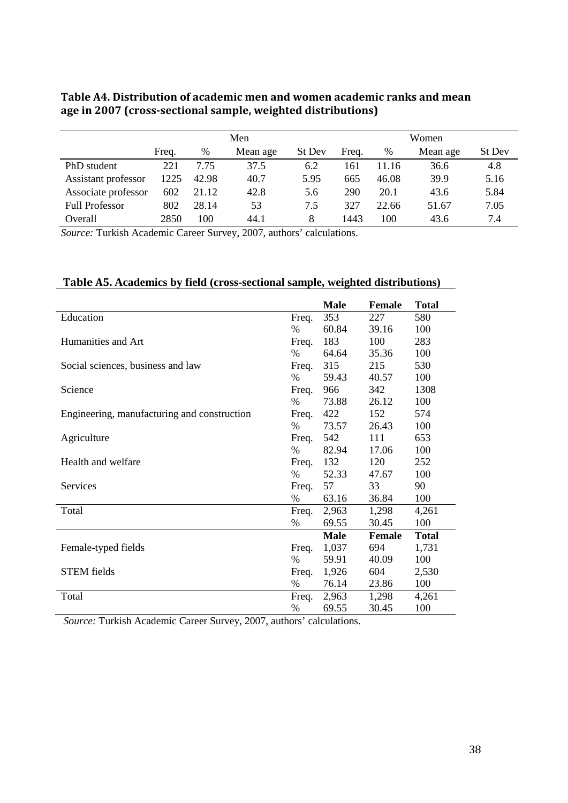|                       | Men   |       |          | Women  |       |       |          |        |
|-----------------------|-------|-------|----------|--------|-------|-------|----------|--------|
|                       | Freq. | %     | Mean age | St Dev | Freq. | %     | Mean age | St Dev |
| PhD student           | 221   | 7.75  | 37.5     | 6.2    | 161   | 11.16 | 36.6     | 4.8    |
| Assistant professor   | 1225  | 42.98 | 40.7     | 5.95   | 665   | 46.08 | 39.9     | 5.16   |
| Associate professor   | 602   | 21.12 | 42.8     | 5.6    | 290   | 20.1  | 43.6     | 5.84   |
| <b>Full Professor</b> | 802   | 28.14 | 53       | 7.5    | 327   | 22.66 | 51.67    | 7.05   |
| Overall               | 2850  | 100   | 44.1     | 8      | 1443  | 100   | 43.6     | 7.4    |

**Table A4. Distribution of academic men and women academic ranks and mean age in 2007 (cross-sectional sample, weighted distributions)**

*Source:* Turkish Academic Career Survey, 2007, authors' calculations.

#### **Table A5. Academics by field (cross-sectional sample, weighted distributions)**

|                                             |       | <b>Male</b> | <b>Female</b> | <b>Total</b> |
|---------------------------------------------|-------|-------------|---------------|--------------|
| Education                                   | Freq. | 353         | 227           | 580          |
|                                             | $\%$  | 60.84       | 39.16         | 100          |
| Humanities and Art                          | Freq. | 183         | 100           | 283          |
|                                             | $\%$  | 64.64       | 35.36         | 100          |
| Social sciences, business and law           | Freq. | 315         | 215           | 530          |
|                                             | $\%$  | 59.43       | 40.57         | 100          |
| Science                                     | Freq. | 966         | 342           | 1308         |
|                                             | $\%$  | 73.88       | 26.12         | 100          |
| Engineering, manufacturing and construction | Freq. | 422         | 152           | 574          |
|                                             | $\%$  | 73.57       | 26.43         | 100          |
| Agriculture                                 | Freq. | 542         | 111           | 653          |
|                                             | $\%$  | 82.94       | 17.06         | 100          |
| Health and welfare                          | Freq. | 132         | 120           | 252          |
|                                             | $\%$  | 52.33       | 47.67         | 100          |
| Services                                    | Freq. | 57          | 33            | 90           |
|                                             | $\%$  | 63.16       | 36.84         | 100          |
| Total                                       | Freq. | 2,963       | 1,298         | 4,261        |
|                                             | %     | 69.55       | 30.45         | 100          |
|                                             |       | <b>Male</b> | <b>Female</b> | <b>Total</b> |
| Female-typed fields                         | Freq. | 1,037       | 694           | 1,731        |
|                                             | $\%$  | 59.91       | 40.09         | 100          |
| <b>STEM</b> fields                          | Freq. | 1,926       | 604           | 2,530        |
|                                             | $\%$  | 76.14       | 23.86         | 100          |
| Total                                       | Freq. | 2,963       | 1,298         | 4,261        |
|                                             | %     | 69.55       | 30.45         | 100          |

*Source:* Turkish Academic Career Survey, 2007, authors' calculations.